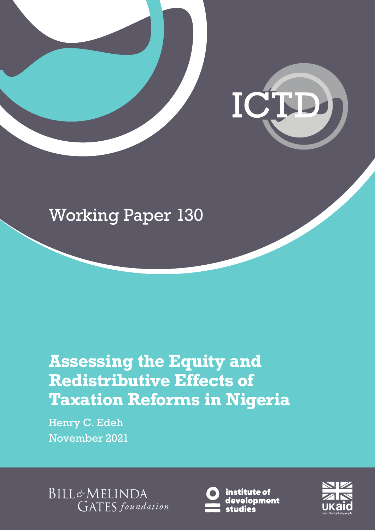

# Working Paper 130

# **Assessing the Equity and Redistributive Effects of Taxation Reforms in Nigeria**

Henry C. Edeh November 2021

**BILL&MELINDA GATES** foundation



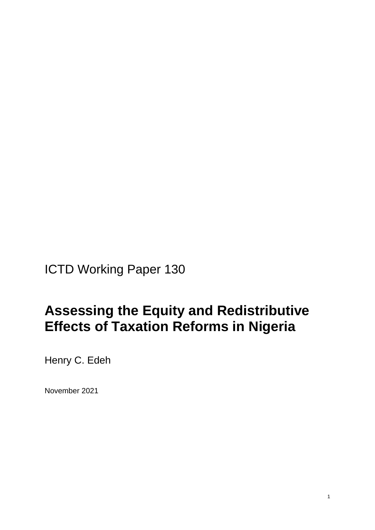ICTD Working Paper 130

## **Assessing the Equity and Redistributive Effects of Taxation Reforms in Nigeria**

Henry C. Edeh

November 2021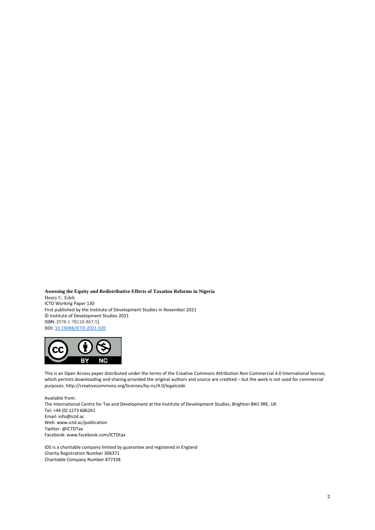**Assessing the Equity and Redistributive Effects of Taxation Reforms in Nigeria** Henry C. Edeh ICTD Working Paper 130 First published by the Institute of Development Studies in November 2021 © Institute of Development Studies 2021 ISBN: [978-1-78118-867-5] DOI[: 10.19088/ICTD.2021.020](https://eur02.safelinks.protection.outlook.com/?url=https%3A%2F%2Fdoi.org%2F10.19088%2FICTD.2021.020&data=04%7C01%7CD.Szpotowicz%40ids.ac.uk%7C2f9f3dc7aed848400f6908d98fc78bf7%7Ce78be64af7754a2e9ec85e66e224b88f%7C0%7C0%7C637698909464703252%7CUnknown%7CTWFpbGZsb3d8eyJWIjoiMC4wLjAwMDAiLCJQIjoiV2luMzIiLCJBTiI6Ik1haWwiLCJXVCI6Mn0%3D%7C1000&sdata=QkOg2Or9sx5fmHbDrd22SHxOEIIwn7oDYaQZ2CsBvYs%3D&reserved=0)



This is an Open Access paper distributed under the terms of the Creative Commons Attribution Non Commercial 4.0 International license, which permits downloading and sharing provided the original authors and source are credited – but the work is not used for commercial purposes. http://creativecommons.org/licenses/by-nc/4.0/legalcode

Available from: The International Centre for Tax and Development at the Institute of Development Studies, Brighton BN1 9RE, UK Tel: +44 (0) 1273 606261 Email: info@ictd.ac Web: www.ictd.ac/publication Twitter: @ICTDTax Facebook: www.facebook.com/ICTDtax

IDS is a charitable company limited by guarantee and registered in England Charity Registration Number 306371 Charitable Company Number 877338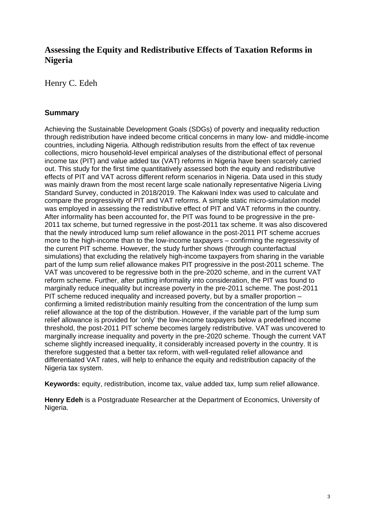### **Assessing the Equity and Redistributive Effects of Taxation Reforms in Nigeria**

Henry C. Edeh

### **Summary**

Achieving the Sustainable Development Goals (SDGs) of poverty and inequality reduction through redistribution have indeed become critical concerns in many low- and middle-income countries, including Nigeria. Although redistribution results from the effect of tax revenue collections, micro household-level empirical analyses of the distributional effect of personal income tax (PIT) and value added tax (VAT) reforms in Nigeria have been scarcely carried out. This study for the first time quantitatively assessed both the equity and redistributive effects of PIT and VAT across different reform scenarios in Nigeria. Data used in this study was mainly drawn from the most recent large scale nationally representative Nigeria Living Standard Survey, conducted in 2018/2019. The Kakwani Index was used to calculate and compare the progressivity of PIT and VAT reforms. A simple static micro-simulation model was employed in assessing the redistributive effect of PIT and VAT reforms in the country. After informality has been accounted for, the PIT was found to be progressive in the pre-2011 tax scheme, but turned regressive in the post-2011 tax scheme. It was also discovered that the newly introduced lump sum relief allowance in the post-2011 PIT scheme accrues more to the high-income than to the low-income taxpayers – confirming the regressivity of the current PIT scheme. However, the study further shows (through counterfactual simulations) that excluding the relatively high-income taxpayers from sharing in the variable part of the lump sum relief allowance makes PIT progressive in the post-2011 scheme. The VAT was uncovered to be regressive both in the pre-2020 scheme, and in the current VAT reform scheme. Further, after putting informality into consideration, the PIT was found to marginally reduce inequality but increase poverty in the pre-2011 scheme. The post-2011 PIT scheme reduced inequality and increased poverty, but by a smaller proportion – confirming a limited redistribution mainly resulting from the concentration of the lump sum relief allowance at the top of the distribution. However, if the variable part of the lump sum relief allowance is provided for 'only' the low-income taxpayers below a predefined income threshold, the post-2011 PIT scheme becomes largely redistributive. VAT was uncovered to marginally increase inequality and poverty in the pre-2020 scheme. Though the current VAT scheme slightly increased inequality, it considerably increased poverty in the country. It is therefore suggested that a better tax reform, with well-regulated relief allowance and differentiated VAT rates, will help to enhance the equity and redistribution capacity of the Nigeria tax system.

**Keywords:** equity, redistribution, income tax, value added tax, lump sum relief allowance.

**Henry Edeh** is a Postgraduate Researcher at the Department of Economics, University of Nigeria.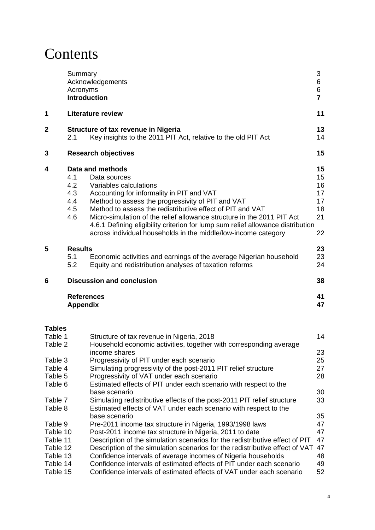## **Contents**

|                                                                     | Summary<br>Acronyms<br><b>Introduction</b> | Acknowledgements                                                                                                                                                                                                                                                                                                                                                                                                                                                                                                      | 3<br>6<br>6<br>$\overline{7}$                |
|---------------------------------------------------------------------|--------------------------------------------|-----------------------------------------------------------------------------------------------------------------------------------------------------------------------------------------------------------------------------------------------------------------------------------------------------------------------------------------------------------------------------------------------------------------------------------------------------------------------------------------------------------------------|----------------------------------------------|
| 1                                                                   |                                            | <b>Literature review</b>                                                                                                                                                                                                                                                                                                                                                                                                                                                                                              | 11                                           |
| 2                                                                   | 2.1                                        | <b>Structure of tax revenue in Nigeria</b><br>Key insights to the 2011 PIT Act, relative to the old PIT Act                                                                                                                                                                                                                                                                                                                                                                                                           | 13<br>14                                     |
| 3                                                                   |                                            | <b>Research objectives</b>                                                                                                                                                                                                                                                                                                                                                                                                                                                                                            | 15                                           |
| 4                                                                   | 4.1<br>4.2<br>4.3<br>4.4<br>4.5<br>4.6     | Data and methods<br>Data sources<br>Variables calculations<br>Accounting for informality in PIT and VAT<br>Method to assess the progressivity of PIT and VAT<br>Method to assess the redistributive effect of PIT and VAT<br>Micro-simulation of the relief allowance structure in the 2011 PIT Act<br>4.6.1 Defining eligibility criterion for lump sum relief allowance distribution<br>across individual households in the middle/low-income category                                                              | 15<br>15<br>16<br>17<br>17<br>18<br>21<br>22 |
| 5                                                                   | <b>Results</b><br>5.1<br>5.2               | Economic activities and earnings of the average Nigerian household<br>Equity and redistribution analyses of taxation reforms                                                                                                                                                                                                                                                                                                                                                                                          | 23<br>23<br>24                               |
| 6                                                                   |                                            | <b>Discussion and conclusion</b>                                                                                                                                                                                                                                                                                                                                                                                                                                                                                      | 38                                           |
|                                                                     | <b>References</b><br><b>Appendix</b>       |                                                                                                                                                                                                                                                                                                                                                                                                                                                                                                                       | 41<br>47                                     |
| Tables                                                              |                                            |                                                                                                                                                                                                                                                                                                                                                                                                                                                                                                                       |                                              |
| Table 1<br>Table 2                                                  |                                            | Structure of tax revenue in Nigeria, 2018<br>Household economic activities, together with corresponding average                                                                                                                                                                                                                                                                                                                                                                                                       | 14                                           |
| Table 3<br>Table 4<br>Table 5<br>Table 6                            |                                            | income shares<br>Progressivity of PIT under each scenario<br>Simulating progressivity of the post-2011 PIT relief structure<br>Progressivity of VAT under each scenario<br>Estimated effects of PIT under each scenario with respect to the<br>base scenario                                                                                                                                                                                                                                                          | 23<br>25<br>27<br>28<br>30                   |
| Table 7<br>Table 8                                                  |                                            | Simulating redistributive effects of the post-2011 PIT relief structure<br>Estimated effects of VAT under each scenario with respect to the                                                                                                                                                                                                                                                                                                                                                                           | 33                                           |
| Table 9<br>Table 10<br>Table 11<br>Table 12<br>Table 13<br>Table 14 | Table 15                                   | base scenario<br>Pre-2011 income tax structure in Nigeria, 1993/1998 laws<br>Post-2011 income tax structure in Nigeria, 2011 to date<br>Description of the simulation scenarios for the redistributive effect of PIT<br>Description of the simulation scenarios for the redistributive effect of VAT<br>Confidence intervals of average incomes of Nigeria households<br>Confidence intervals of estimated effects of PIT under each scenario<br>Confidence intervals of estimated effects of VAT under each scenario | 35<br>47<br>47<br>47<br>47<br>48<br>49<br>52 |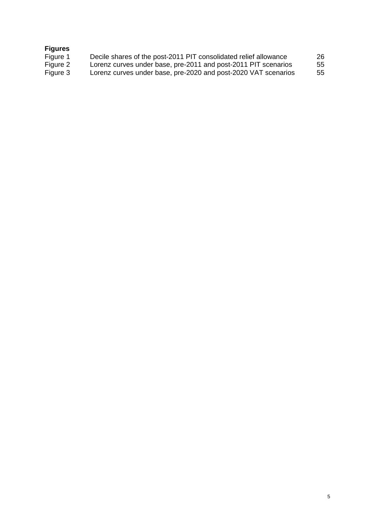#### **Figures**

| Decile shares of the post-2011 PIT consolidated relief allowance | 26 |
|------------------------------------------------------------------|----|
| Lorenz curves under base, pre-2011 and post-2011 PIT scenarios   | 55 |
| Lorenz curves under base, pre-2020 and post-2020 VAT scenarios   | 55 |
|                                                                  |    |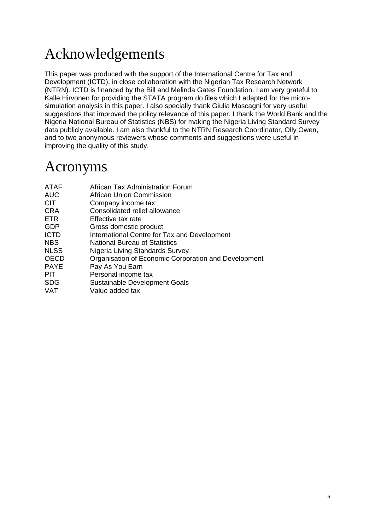## Acknowledgements

This paper was produced with the support of the International Centre for Tax and Development (ICTD), in close collaboration with the Nigerian Tax Research Network (NTRN). ICTD is financed by the Bill and Melinda Gates Foundation. I am very grateful to Kalle Hirvonen for providing the STATA program do files which I adapted for the microsimulation analysis in this paper. I also specially thank Giulia Mascagni for very useful suggestions that improved the policy relevance of this paper. I thank the World Bank and the Nigeria National Bureau of Statistics (NBS) for making the Nigeria Living Standard Survey data publicly available. I am also thankful to the NTRN Research Coordinator, Olly Owen, and to two anonymous reviewers whose comments and suggestions were useful in improving the quality of this study.

## Acronyms

| ATAF        | African Tax Administration Forum                     |
|-------------|------------------------------------------------------|
| <b>AUC</b>  | African Union Commission                             |
| <b>CIT</b>  | Company income tax                                   |
| <b>CRA</b>  | Consolidated relief allowance                        |
| <b>ETR</b>  | Effective tax rate                                   |
| <b>GDP</b>  | Gross domestic product                               |
| <b>ICTD</b> | International Centre for Tax and Development         |
| <b>NBS</b>  | <b>National Bureau of Statistics</b>                 |
| <b>NLSS</b> | Nigeria Living Standards Survey                      |
| <b>OECD</b> | Organisation of Economic Corporation and Development |
| <b>PAYE</b> | Pay As You Earn                                      |
| <b>PIT</b>  | Personal income tax                                  |
| <b>SDG</b>  | Sustainable Development Goals                        |
| VAT         | Value added tax                                      |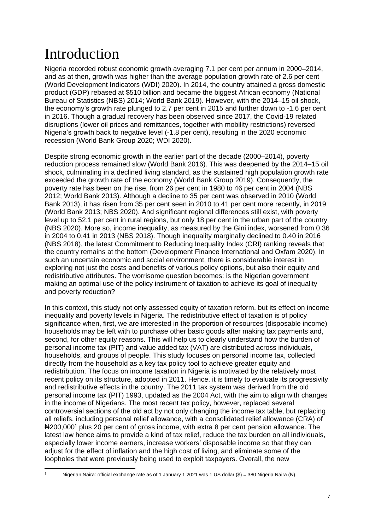## Introduction

Nigeria recorded robust economic growth averaging 7.1 per cent per annum in 2000–2014, and as at then, growth was higher than the average population growth rate of 2.6 per cent (World Development Indicators (WDI) 2020). In 2014, the country attained a gross domestic product (GDP) rebased at \$510 billion and became the biggest African economy (National Bureau of Statistics (NBS) 2014; World Bank 2019). However, with the 2014–15 oil shock, the economy's growth rate plunged to 2.7 per cent in 2015 and further down to -1.6 per cent in 2016. Though a gradual recovery has been observed since 2017, the Covid-19 related disruptions (lower oil prices and remittances, together with mobility restrictions) reversed Nigeria's growth back to negative level (-1.8 per cent), resulting in the 2020 economic recession (World Bank Group 2020; WDI 2020).

Despite strong economic growth in the earlier part of the decade (2000–2014), poverty reduction process remained slow (World Bank 2016). This was deepened by the 2014–15 oil shock, culminating in a declined living standard, as the sustained high population growth rate exceeded the growth rate of the economy (World Bank Group 2019). Consequently, the poverty rate has been on the rise, from 26 per cent in 1980 to 46 per cent in 2004 (NBS 2012; World Bank 2013). Although a decline to 35 per cent was observed in 2010 (World Bank 2013), it has risen from 35 per cent seen in 2010 to 41 per cent more recently, in 2019 (World Bank 2013; NBS 2020). And significant regional differences still exist, with poverty level up to 52.1 per cent in rural regions, but only 18 per cent in the urban part of the country (NBS 2020). More so, income inequality, as measured by the Gini index, worsened from 0.36 in 2004 to 0.41 in 2013 (NBS 2018). Though inequality marginally declined to 0.40 in 2016 (NBS 2018), the latest Commitment to Reducing Inequality Index (CRI) ranking reveals that the country remains at the bottom (Development Finance International and Oxfam 2020). In such an uncertain economic and social environment, there is considerable interest in exploring not just the costs and benefits of various policy options, but also their equity and redistributive attributes. The worrisome question becomes: is the Nigerian government making an optimal use of the policy instrument of taxation to achieve its goal of inequality and poverty reduction?

In this context, this study not only assessed equity of taxation reform, but its effect on income inequality and poverty levels in Nigeria. The redistributive effect of taxation is of policy significance when, first, we are interested in the proportion of resources (disposable income) households may be left with to purchase other basic goods after making tax payments and, second, for other equity reasons. This will help us to clearly understand how the burden of personal income tax (PIT) and value added tax (VAT) are distributed across individuals, households, and groups of people. This study focuses on personal income tax, collected directly from the household as a key tax policy tool to achieve greater equity and redistribution. The focus on income taxation in Nigeria is motivated by the relatively most recent policy on its structure, adopted in 2011. Hence, it is timely to evaluate its progressivity and redistributive effects in the country. The 2011 tax system was derived from the old personal income tax (PIT) 1993, updated as the 2004 Act, with the aim to align with changes in the income of Nigerians. The most recent tax policy, however, replaced several controversial sections of the old act by not only changing the income tax table, but replacing all reliefs, including personal relief allowance, with a consolidated relief allowance (CRA) of #200,000<sup>1</sup> plus 20 per cent of gross income, with extra 8 per cent pension allowance. The latest law hence aims to provide a kind of tax relief, reduce the tax burden on all individuals, especially lower income earners, increase workers' disposable income so that they can adjust for the effect of inflation and the high cost of living, and eliminate some of the loopholes that were previously being used to exploit taxpayers. Overall, the new

Nigerian Naira: official exchange rate as of 1 January 1 2021 was 1 US dollar (\$) = 380 Nigeria Naira (Na).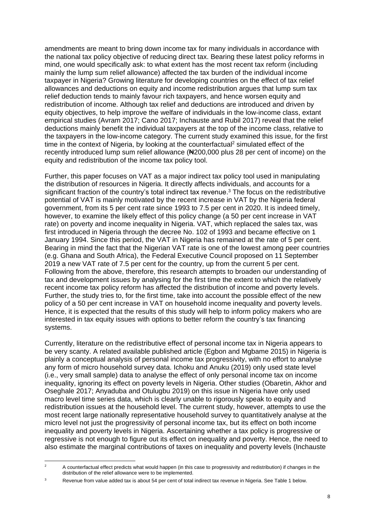amendments are meant to bring down income tax for many individuals in accordance with the national tax policy objective of reducing direct tax. Bearing these latest policy reforms in mind, one would specifically ask: to what extent has the most recent tax reform (including mainly the lump sum relief allowance) affected the tax burden of the individual income taxpayer in Nigeria? Growing literature for developing countries on the effect of tax relief allowances and deductions on equity and income redistribution argues that lump sum tax relief deduction tends to mainly favour rich taxpayers, and hence worsen equity and redistribution of income. Although tax relief and deductions are introduced and driven by equity objectives, to help improve the welfare of individuals in the low-income class, extant empirical studies (Avram 2017; Cano 2017; Inchauste and Rubil 2017) reveal that the relief deductions mainly benefit the individual taxpayers at the top of the income class, relative to the taxpayers in the low-income category. The current study examined this issue, for the first time in the context of Nigeria, by looking at the counterfactual<sup>2</sup> simulated effect of the recently introduced lump sum relief allowance (₦200,000 plus 28 per cent of income) on the equity and redistribution of the income tax policy tool.

Further, this paper focuses on VAT as a major indirect tax policy tool used in manipulating the distribution of resources in Nigeria. It directly affects individuals, and accounts for a significant fraction of the country's total indirect tax revenue. <sup>3</sup> The focus on the redistributive potential of VAT is mainly motivated by the recent increase in VAT by the Nigeria federal government, from its 5 per cent rate since 1993 to 7.5 per cent in 2020. It is indeed timely, however, to examine the likely effect of this policy change (a 50 per cent increase in VAT rate) on poverty and income inequality in Nigeria. VAT, which replaced the sales tax, was first introduced in Nigeria through the decree No. 102 of 1993 and became effective on 1 January 1994. Since this period, the VAT in Nigeria has remained at the rate of 5 per cent. Bearing in mind the fact that the Nigerian VAT rate is one of the lowest among peer countries (e.g. Ghana and South Africa), the Federal Executive Council proposed on 11 September 2019 a new VAT rate of 7.5 per cent for the country, up from the current 5 per cent. Following from the above, therefore, this research attempts to broaden our understanding of tax and development issues by analysing for the first time the extent to which the relatively recent income tax policy reform has affected the distribution of income and poverty levels. Further, the study tries to, for the first time, take into account the possible effect of the new policy of a 50 per cent increase in VAT on household income inequality and poverty levels. Hence, it is expected that the results of this study will help to inform policy makers who are interested in tax equity issues with options to better reform the country's tax financing systems.

Currently, literature on the redistributive effect of personal income tax in Nigeria appears to be very scanty. A related available published article (Egbon and Mgbame 2015) in Nigeria is plainly a conceptual analysis of personal income tax progressivity, with no effort to analyse any form of micro household survey data. Ichoku and Anuku (2019) only used state level (i.e., very small sample) data to analyse the effect of only personal income tax on income inequality, ignoring its effect on poverty levels in Nigeria. Other studies (Obaretin, Akhor and Oseghale 2017; Anyaduba and Otulugbu 2019) on this issue in Nigeria have only used macro level time series data, which is clearly unable to rigorously speak to equity and redistribution issues at the household level. The current study, however, attempts to use the most recent large nationally representative household survey to quantitatively analyse at the micro level not just the progressivity of personal income tax, but its effect on both income inequality and poverty levels in Nigeria. Ascertaining whether a tax policy is progressive or regressive is not enough to figure out its effect on inequality and poverty. Hence, the need to also estimate the marginal contributions of taxes on inequality and poverty levels (Inchauste

<sup>&</sup>lt;sup>2</sup> A counterfactual effect predicts what would happen (in this case to progressivity and redistribution) if changes in the distribution of the relief allowance were to be implemented.

<sup>&</sup>lt;sup>3</sup> Revenue from value added tax is about 54 per cent of total indirect tax revenue in Nigeria. See Table 1 below.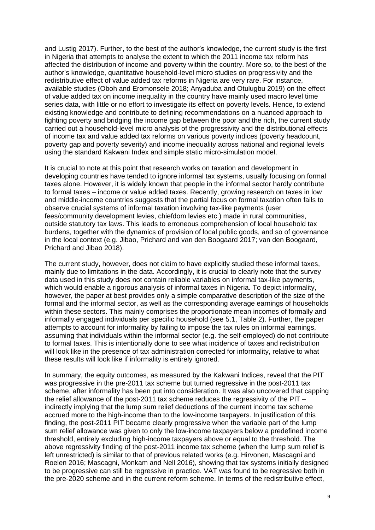and Lustig 2017). Further, to the best of the author's knowledge, the current study is the first in Nigeria that attempts to analyse the extent to which the 2011 income tax reform has affected the distribution of income and poverty within the country. More so, to the best of the author's knowledge, quantitative household-level micro studies on progressivity and the redistributive effect of value added tax reforms in Nigeria are very rare. For instance, available studies (Oboh and Eromonsele 2018; Anyaduba and Otulugbu 2019) on the effect of value added tax on income inequality in the country have mainly used macro level time series data, with little or no effort to investigate its effect on poverty levels. Hence, to extend existing knowledge and contribute to defining recommendations on a nuanced approach to fighting poverty and bridging the income gap between the poor and the rich, the current study carried out a household-level micro analysis of the progressivity and the distributional effects of income tax and value added tax reforms on various poverty indices (poverty headcount, poverty gap and poverty severity) and income inequality across national and regional levels using the standard Kakwani Index and simple static micro-simulation model.

It is crucial to note at this point that research works on taxation and development in developing countries have tended to ignore informal tax systems, usually focusing on formal taxes alone. However, it is widely known that people in the informal sector hardly contribute to formal taxes – income or value added taxes. Recently, growing research on taxes in low and middle-income countries suggests that the partial focus on formal taxation often fails to observe crucial systems of informal taxation involving tax-like payments (user fees/community development levies, chiefdom levies etc.) made in rural communities, outside statutory tax laws. This leads to erroneous comprehension of local household tax burdens, together with the dynamics of provision of local public goods, and so of governance in the local context (e.g. Jibao, Prichard and van den Boogaard 2017; van den Boogaard, Prichard and Jibao 2018).

The current study, however, does not claim to have explicitly studied these informal taxes, mainly due to limitations in the data. Accordingly, it is crucial to clearly note that the survey data used in this study does not contain reliable variables on informal tax-like payments, which would enable a rigorous analysis of informal taxes in Nigeria. To depict informality, however, the paper at best provides only a simple comparative description of the size of the formal and the informal sector, as well as the corresponding average earnings of households within these sectors. This mainly comprises the proportionate mean incomes of formally and informally engaged individuals per specific household (see 5.1, Table 2). Further, the paper attempts to account for informality by failing to impose the tax rules on informal earnings, assuming that individuals within the informal sector (e.g. the self-employed) do not contribute to formal taxes. This is intentionally done to see what incidence of taxes and redistribution will look like in the presence of tax administration corrected for informality, relative to what these results will look like if informality is entirely ignored.

In summary, the equity outcomes, as measured by the Kakwani Indices, reveal that the PIT was progressive in the pre-2011 tax scheme but turned regressive in the post-2011 tax scheme, after informality has been put into consideration. It was also uncovered that capping the relief allowance of the post-2011 tax scheme reduces the regressivity of the PIT – indirectly implying that the lump sum relief deductions of the current income tax scheme accrued more to the high-income than to the low-income taxpayers. In justification of this finding, the post-2011 PIT became clearly progressive when the variable part of the lump sum relief allowance was given to only the low-income taxpayers below a predefined income threshold, entirely excluding high-income taxpayers above or equal to the threshold. The above regressivity finding of the post-2011 income tax scheme (when the lump sum relief is left unrestricted) is similar to that of previous related works (e.g. Hirvonen, Mascagni and Roelen 2016; Mascagni, Monkam and Nell 2016), showing that tax systems initially designed to be progressive can still be regressive in practice. VAT was found to be regressive both in the pre-2020 scheme and in the current reform scheme. In terms of the redistributive effect,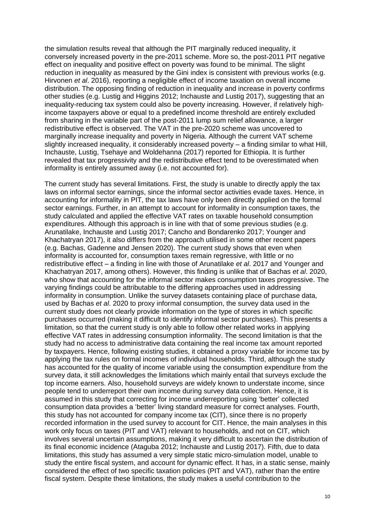the simulation results reveal that although the PIT marginally reduced inequality, it conversely increased poverty in the pre-2011 scheme. More so, the post-2011 PIT negative effect on inequality and positive effect on poverty was found to be minimal. The slight reduction in inequality as measured by the Gini index is consistent with previous works (e.g. Hirvonen *et al*. 2016), reporting a negligible effect of income taxation on overall income distribution. The opposing finding of reduction in inequality and increase in poverty confirms other studies (e.g. Lustig and Higgins 2012; Inchauste and Lustig 2017), suggesting that an inequality-reducing tax system could also be poverty increasing. However, if relatively highincome taxpayers above or equal to a predefined income threshold are entirely excluded from sharing in the variable part of the post-2011 lump sum relief allowance, a larger redistributive effect is observed. The VAT in the pre-2020 scheme was uncovered to marginally increase inequality and poverty in Nigeria. Although the current VAT scheme slightly increased inequality, it considerably increased poverty – a finding similar to what Hill, Inchauste, Lustig, Tsehaye and Woldehanna (2017) reported for Ethiopia. It is further revealed that tax progressivity and the redistributive effect tend to be overestimated when informality is entirely assumed away (i.e. not accounted for).

The current study has several limitations. First, the study is unable to directly apply the tax laws on informal sector earnings, since the informal sector activities evade taxes. Hence, in accounting for informality in PIT, the tax laws have only been directly applied on the formal sector earnings. Further, in an attempt to account for informality in consumption taxes, the study calculated and applied the effective VAT rates on taxable household consumption expenditures. Although this approach is in line with that of some previous studies (e.g. Arunatilake, Inchauste and Lustig 2017; Cancho and Bondarenko 2017; Younger and Khachatryan 2017), it also differs from the approach utilised in some other recent papers (e.g. Bachas, Gadenne and Jensen 2020). The current study shows that even when informality is accounted for, consumption taxes remain regressive, with little or no redistributive effect – a finding in line with those of Arunatilake *et al*. 2017 and Younger and Khachatryan 2017, among others). However, this finding is unlike that of Bachas *et al*. 2020, who show that accounting for the informal sector makes consumption taxes progressive. The varying findings could be attributable to the differing approaches used in addressing informality in consumption. Unlike the survey datasets containing place of purchase data, used by Bachas *et al*. 2020 to proxy informal consumption, the survey data used in the current study does not clearly provide information on the type of stores in which specific purchases occurred (making it difficult to identify informal sector purchases). This presents a limitation, so that the current study is only able to follow other related works in applying effective VAT rates in addressing consumption informality. The second limitation is that the study had no access to administrative data containing the real income tax amount reported by taxpayers. Hence, following existing studies, it obtained a proxy variable for income tax by applying the tax rules on formal incomes of individual households. Third, although the study has accounted for the quality of income variable using the consumption expenditure from the survey data, it still acknowledges the limitations which mainly entail that surveys exclude the top income earners. Also, household surveys are widely known to understate income, since people tend to underreport their own income during survey data collection. Hence, it is assumed in this study that correcting for income underreporting using 'better' collected consumption data provides a 'better' living standard measure for correct analyses. Fourth, this study has not accounted for company income tax (CIT), since there is no properly recorded information in the used survey to account for CIT. Hence, the main analyses in this work only focus on taxes (PIT and VAT) relevant to households, and not on CIT, which involves several uncertain assumptions, making it very difficult to ascertain the distribution of its final economic incidence (Ataguba 2012; Inchauste and Lustig 2017). Fifth, due to data limitations, this study has assumed a very simple static micro-simulation model, unable to study the entire fiscal system, and account for dynamic effect. It has, in a static sense, mainly considered the effect of two specific taxation policies (PIT and VAT), rather than the entire fiscal system. Despite these limitations, the study makes a useful contribution to the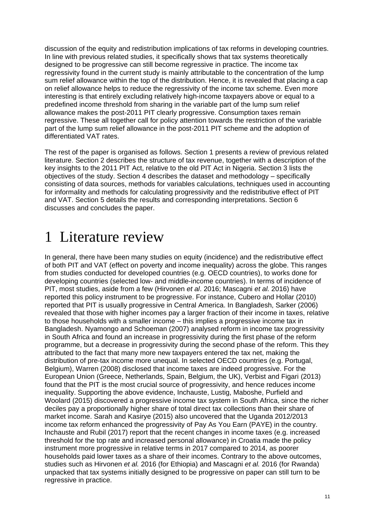discussion of the equity and redistribution implications of tax reforms in developing countries. In line with previous related studies, it specifically shows that tax systems theoretically designed to be progressive can still become regressive in practice. The income tax regressivity found in the current study is mainly attributable to the concentration of the lump sum relief allowance within the top of the distribution. Hence, it is revealed that placing a cap on relief allowance helps to reduce the regressivity of the income tax scheme. Even more interesting is that entirely excluding relatively high-income taxpayers above or equal to a predefined income threshold from sharing in the variable part of the lump sum relief allowance makes the post-2011 PIT clearly progressive. Consumption taxes remain regressive. These all together call for policy attention towards the restriction of the variable part of the lump sum relief allowance in the post-2011 PIT scheme and the adoption of differentiated VAT rates.

The rest of the paper is organised as follows. Section 1 presents a review of previous related literature. Section 2 describes the structure of tax revenue, together with a description of the key insights to the 2011 PIT Act, relative to the old PIT Act in Nigeria. Section 3 lists the objectives of the study. Section 4 describes the dataset and methodology – specifically consisting of data sources, methods for variables calculations, techniques used in accounting for informality and methods for calculating progressivity and the redistributive effect of PIT and VAT. Section 5 details the results and corresponding interpretations. Section 6 discusses and concludes the paper.

## 1 Literature review

In general, there have been many studies on equity (incidence) and the redistributive effect of both PIT and VAT (effect on poverty and income inequality) across the globe. This ranges from studies conducted for developed countries (e.g. OECD countries), to works done for developing countries (selected low- and middle-income countries). In terms of incidence of PIT, most studies, aside from a few (Hirvonen *et al*. 2016; Mascagni *et al.* 2016) have reported this policy instrument to be progressive. For instance, Cubero and Hollar (2010) reported that PIT is usually progressive in Central America. In Bangladesh, Sarker (2006) revealed that those with higher incomes pay a larger fraction of their income in taxes, relative to those households with a smaller income – this implies a progressive income tax in Bangladesh. Nyamongo and Schoeman (2007) analysed reform in income tax progressivity in South Africa and found an increase in progressivity during the first phase of the reform programme, but a decrease in progressivity during the second phase of the reform. This they attributed to the fact that many more new taxpayers entered the tax net, making the distribution of pre-tax income more unequal. In selected OECD countries (e.g. Portugal, Belgium), Warren (2008) disclosed that income taxes are indeed progressive. For the European Union (Greece, Netherlands, Spain, Belgium, the UK), Verbist and Figari (2013) found that the PIT is the most crucial source of progressivity, and hence reduces income inequality. Supporting the above evidence, Inchauste, Lustig, Maboshe, Purfield and Woolard (2015) discovered a progressive income tax system in South Africa, since the richer deciles pay a proportionally higher share of total direct tax collections than their share of market income. Sarah and Kasirye (2015) also uncovered that the Uganda 2012/2013 income tax reform enhanced the progressivity of Pay As You Earn (PAYE) in the country. Inchauste and Rubil (2017) report that the recent changes in income taxes (e.g. increased threshold for the top rate and increased personal allowance) in Croatia made the policy instrument more progressive in relative terms in 2017 compared to 2014, as poorer households paid lower taxes as a share of their incomes. Contrary to the above outcomes, studies such as Hirvonen *et al.* 2016 (for Ethiopia) and Mascagni *et al.* 2016 (for Rwanda) unpacked that tax systems initially designed to be progressive on paper can still turn to be regressive in practice.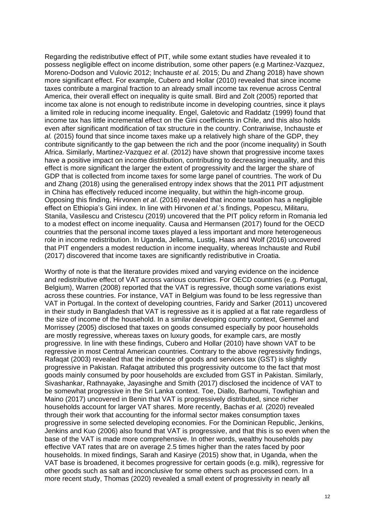Regarding the redistributive effect of PIT, while some extant studies have revealed it to possess negligible effect on income distribution, some other papers (e.g Martinez-Vazquez, Moreno-Dodson and Vulovic 2012; Inchauste *et al.* 2015; Du and Zhang 2018) have shown more significant effect. For example, Cubero and Hollar (2010) revealed that since income taxes contribute a marginal fraction to an already small income tax revenue across Central America, their overall effect on inequality is quite small. Bird and Zolt (2005) reported that income tax alone is not enough to redistribute income in developing countries, since it plays a limited role in reducing income inequality. Engel, Galetovic and Raddatz (1999) found that income tax has little incremental effect on the Gini coefficients in Chile, and this also holds even after significant modification of tax structure in the country. Contrariwise, Inchauste *et al.* (2015) found that since income taxes make up a relatively high share of the GDP, they contribute significantly to the gap between the rich and the poor (income inequality) in South Africa. Similarly, Martinez-Vazquez *et al*. (2012) have shown that progressive income taxes have a positive impact on income distribution, contributing to decreasing inequality, and this effect is more significant the larger the extent of progressivity and the larger the share of GDP that is collected from income taxes for some large panel of countries. The work of Du and Zhang (2018) using the generalised entropy index shows that the 2011 PIT adjustment in China has effectively reduced income inequality, but within the high-income group. Opposing this finding, Hirvonen *et al*. (2016) revealed that income taxation has a negligible effect on Ethiopia's Gini index. In line with Hirvonen *et al*.'s findings, Popescu, Militaru, Stanila, Vasilescu and Cristescu (2019) uncovered that the PIT policy reform in Romania led to a modest effect on income inequality. Causa and Hermansen (2017) found for the OECD countries that the personal income taxes played a less important and more heterogeneous role in income redistribution. In Uganda, Jellema, Lustig, Haas and Wolf (2016) uncovered that PIT engenders a modest reduction in income inequality, whereas Inchauste and Rubil (2017) discovered that income taxes are significantly redistributive in Croatia.

Worthy of note is that the literature provides mixed and varying evidence on the incidence and redistributive effect of VAT across various countries. For OECD countries (e.g. Portugal, Belgium), Warren (2008) reported that the VAT is regressive, though some variations exist across these countries. For instance, VAT in Belgium was found to be less regressive than VAT in Portugal. In the context of developing countries, Faridy and Sarker (2011) uncovered in their study in Bangladesh that VAT is regressive as it is applied at a flat rate regardless of the size of income of the household. In a similar developing country context, Gemmel and Morrissey (2005) disclosed that taxes on goods consumed especially by poor households are mostly regressive, whereas taxes on luxury goods, for example cars, are mostly progressive. In line with these findings, Cubero and Hollar (2010) have shown VAT to be regressive in most Central American countries. Contrary to the above regressivity findings, Rafaqat (2003) revealed that the incidence of goods and services tax (GST) is slightly progressive in Pakistan. Rafaqat attributed this progressivity outcome to the fact that most goods mainly consumed by poor households are excluded from GST in Pakistan. Similarly, Sivashankar, Rathnayake, Jayasinghe and Smith (2017) disclosed the incidence of VAT to be somewhat progressive in the Sri Lanka context. Toe, Diallo, Barhoumi, Towfighian and Maino (2017) uncovered in Benin that VAT is progressively distributed, since richer households account for larger VAT shares. More recently, Bachas *et al.* (2020) revealed through their work that accounting for the informal sector makes consumption taxes progressive in some selected developing economies. For the Dominican Republic, Jenkins, Jenkins and Kuo (2006) also found that VAT is progressive, and that this is so even when the base of the VAT is made more comprehensive. In other words, wealthy households pay effective VAT rates that are on average 2.5 times higher than the rates faced by poor households. In mixed findings, Sarah and Kasirye (2015) show that, in Uganda, when the VAT base is broadened, it becomes progressive for certain goods (e.g. milk), regressive for other goods such as salt and inconclusive for some others such as processed corn. In a more recent study, Thomas (2020) revealed a small extent of progressivity in nearly all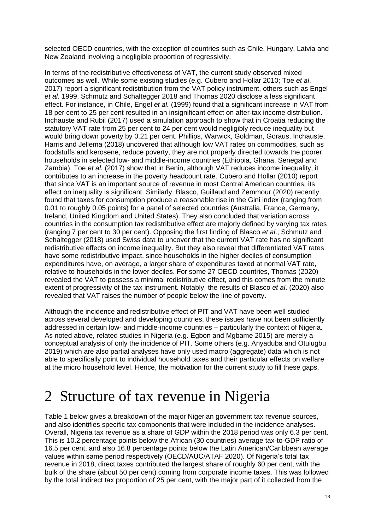selected OECD countries, with the exception of countries such as Chile, Hungary, Latvia and New Zealand involving a negligible proportion of regressivity.

In terms of the redistributive effectiveness of VAT, the current study observed mixed outcomes as well. While some existing studies (e.g. Cubero and Hollar 2010; Toe *et al*. 2017) report a significant redistribution from the VAT policy instrument, others such as Engel *et al*. 1999, Schmutz and Schaltegger 2018 and Thomas 2020 disclose a less significant effect. For instance, in Chile, Engel *et al.* (1999) found that a significant increase in VAT from 18 per cent to 25 per cent resulted in an insignificant effect on after-tax income distribution. Inchauste and Rubil (2017) used a simulation approach to show that in Croatia reducing the statutory VAT rate from 25 per cent to 24 per cent would negligibly reduce inequality but would bring down poverty by 0.21 per cent. Phillips, Warwick, Goldman, Goraus, Inchauste, Harris and Jellema (2018) uncovered that although low VAT rates on commodities, such as foodstuffs and kerosene, reduce poverty, they are not properly directed towards the poorer households in selected low- and middle-income countries (Ethiopia, Ghana, Senegal and Zambia). Toe *et al.* (2017) show that in Benin, although VAT reduces income inequality, it contributes to an increase in the poverty headcount rate. Cubero and Hollar (2010) report that since VAT is an important source of revenue in most Central American countries, its effect on inequality is significant. Similarly, Blasco, Guillaud and Zemmour (2020) recently found that taxes for consumption produce a reasonable rise in the Gini index (ranging from 0.01 to roughly 0.05 points) for a panel of selected countries (Australia, France, Germany, Ireland, United Kingdom and United States). They also concluded that variation across countries in the consumption tax redistributive effect are majorly defined by varying tax rates (ranging 7 per cent to 30 per cent). Opposing the first finding of Blasco *et al*., Schmutz and Schaltegger (2018) used Swiss data to uncover that the current VAT rate has no significant redistributive effects on income inequality. But they also reveal that differentiated VAT rates have some redistributive impact, since households in the higher deciles of consumption expenditures have, on average, a larger share of expenditures taxed at normal VAT rate, relative to households in the lower deciles. For some 27 OECD countries, Thomas (2020) revealed the VAT to possess a minimal redistributive effect, and this comes from the minute extent of progressivity of the tax instrument. Notably, the results of Blasco *et al*. (2020) also revealed that VAT raises the number of people below the line of poverty.

Although the incidence and redistributive effect of PIT and VAT have been well studied across several developed and developing countries, these issues have not been sufficiently addressed in certain low- and middle-income countries – particularly the context of Nigeria. As noted above, related studies in Nigeria (e.g. Egbon and Mgbame 2015) are merely a conceptual analysis of only the incidence of PIT. Some others (e.g. Anyaduba and Otulugbu 2019) which are also partial analyses have only used macro (aggregate) data which is not able to specifically point to individual household taxes and their particular effects on welfare at the micro household level. Hence, the motivation for the current study to fill these gaps.

## 2 Structure of tax revenue in Nigeria

Table 1 below gives a breakdown of the major Nigerian government tax revenue sources, and also identifies specific tax components that were included in the incidence analyses. Overall, Nigeria tax revenue as a share of GDP within the 2018 period was only 6.3 per cent. This is 10.2 percentage points below the African (30 countries) average tax-to-GDP ratio of 16.5 per cent, and also 16.8 percentage points below the Latin American/Caribbean average values within same period respectively (OECD/AUC/ATAF 2020). Of Nigeria's total tax revenue in 2018, direct taxes contributed the largest share of roughly 60 per cent, with the bulk of the share (about 50 per cent) coming from corporate income taxes. This was followed by the total indirect tax proportion of 25 per cent, with the major part of it collected from the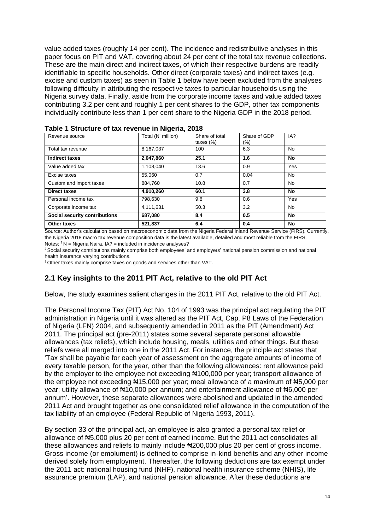value added taxes (roughly 14 per cent). The incidence and redistributive analyses in this paper focus on PIT and VAT, covering about 24 per cent of the total tax revenue collections. These are the main direct and indirect taxes, of which their respective burdens are readily identifiable to specific households. Other direct (corporate taxes) and indirect taxes (e.g. excise and custom taxes) as seen in Table 1 below have been excluded from the analyses following difficulty in attributing the respective taxes to particular households using the Nigeria survey data. Finally, aside from the corporate income taxes and value added taxes contributing 3.2 per cent and roughly 1 per cent shares to the GDP, other tax components individually contribute less than 1 per cent share to the Nigeria GDP in the 2018 period.

| Revenue source                | Total (N' million) | Share of total<br>taxes $(\%)$ | Share of GDP<br>(%) | IA?               |
|-------------------------------|--------------------|--------------------------------|---------------------|-------------------|
| Total tax revenue             | 8,167,037          | 100                            | 6.3                 | <b>No</b>         |
| <b>Indirect taxes</b>         | 2,047,860          | 25.1                           | 1.6                 | No                |
| Value added tax               | 1,108,040          | 13.6                           | 0.9                 | Yes               |
| Excise taxes                  | 55,060             | 0.7                            | 0.04                | <b>No</b>         |
| Custom and import taxes       | 884,760            | 10.8                           | 0.7                 | <b>No</b>         |
| <b>Direct taxes</b>           | 4,910,260          | 60.1                           | 3.8                 | No                |
| Personal income tax           | 798,630            | 9.8                            | 0.6                 | Yes               |
| Corporate income tax          | 4,111,631          | 50.3                           | 3.2                 | <b>No</b>         |
| Social security contributions | 687,080            | 8.4                            | 0.5                 | No                |
| Other taxes<br>.              | 521.837            | 6.4                            | 0.4                 | No<br>- - - - - - |

**Table 1 Structure of tax revenue in Nigeria, 2018**

Source: Author's calculation based on macroeconomic data from the Nigeria Federal Inland Revenue Service (FIRS). Currently, the Nigeria 2018 macro tax revenue composition data is the latest available, detailed and most reliable from the FIRS. Notes: <sup>1</sup> N = Nigeria Naira. IA? = included in incidence analyses?

<sup>2</sup> Social security contributions mainly comprise both employees' and employers' national pension commission and national health insurance varying contributions.

<sup>3</sup> Other taxes mainly comprise taxes on goods and services other than VAT.

### **2.1 Key insights to the 2011 PIT Act, relative to the old PIT Act**

Below, the study examines salient changes in the 2011 PIT Act, relative to the old PIT Act.

The Personal Income Tax (PIT) Act No. 104 of 1993 was the principal act regulating the PIT administration in Nigeria until it was altered as the PIT Act, Cap. P8 Laws of the Federation of Nigeria (LFN) 2004, and subsequently amended in 2011 as the PIT (Amendment) Act 2011. The principal act (pre-2011) states some several separate personal allowable allowances (tax reliefs), which include housing, meals, utilities and other things. But these reliefs were all merged into one in the 2011 Act. For instance, the principle act states that 'Tax shall be payable for each year of assessment on the aggregate amounts of income of every taxable person, for the year, other than the following allowances: rent allowance paid by the employer to the employee not exceeding #100,000 per year; transport allowance of the employee not exceeding ₦15,000 per year; meal allowance of a maximum of ₦5,000 per year; utility allowance of  $\frac{1}{2}10,000$  per annum; and entertainment allowance of  $\frac{1}{2}6,000$  per annum'. However, these separate allowances were abolished and updated in the amended 2011 Act and brought together as one consolidated relief allowance in the computation of the tax liability of an employee (Federal Republic of Nigeria 1993, 2011).

By section 33 of the principal act, an employee is also granted a personal tax relief or allowance of ₦5,000 plus 20 per cent of earned income. But the 2011 act consolidates all these allowances and reliefs to mainly include ₦200,000 plus 20 per cent of gross income. Gross income (or emolument) is defined to comprise in-kind benefits and any other income derived solely from employment. Thereafter, the following deductions are tax exempt under the 2011 act: national housing fund (NHF), national health insurance scheme (NHIS), life assurance premium (LAP), and national pension allowance. After these deductions are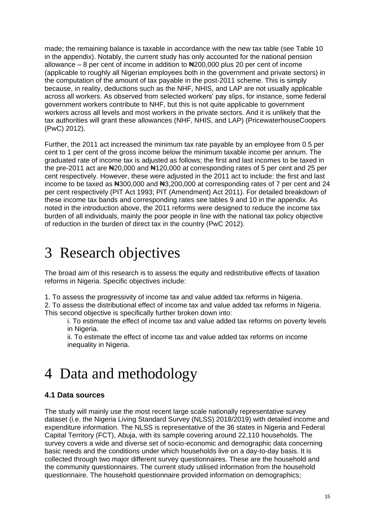made; the remaining balance is taxable in accordance with the new tax table (see Table 10 in the appendix). Notably, the current study has only accounted for the national pension allowance – 8 per cent of income in addition to  $\text{N}200,000$  plus 20 per cent of income (applicable to roughly all Nigerian employees both in the government and private sectors) in the computation of the amount of tax payable in the post-2011 scheme. This is simply because, in reality, deductions such as the NHF, NHIS, and LAP are not usually applicable across all workers. As observed from selected workers' pay slips, for instance, some federal government workers contribute to NHF, but this is not quite applicable to government workers across all levels and most workers in the private sectors. And it is unlikely that the tax authorities will grant these allowances (NHF, NHIS, and LAP) (PricewaterhouseCoopers (PwC) 2012).

Further, the 2011 act increased the minimum tax rate payable by an employee from 0.5 per cent to 1 per cent of the gross income below the minimum taxable income per annum. The graduated rate of income tax is adjusted as follows; the first and last incomes to be taxed in the pre-2011 act are New 20,000 and New 120,000 at corresponding rates of 5 per cent and 25 per cent respectively. However, these were adjusted in the 2011 act to include: the first and last income to be taxed as  $\text{H}300,000$  and  $\text{H}3,200,000$  at corresponding rates of 7 per cent and 24 per cent respectively (PIT Act 1993; PIT (Amendment) Act 2011). For detailed breakdown of these income tax bands and corresponding rates see tables 9 and 10 in the appendix. As noted in the introduction above, the 2011 reforms were designed to reduce the income tax burden of all individuals, mainly the poor people in line with the national tax policy objective of reduction in the burden of direct tax in the country (PwC 2012).

## 3 Research objectives

The broad aim of this research is to assess the equity and redistributive effects of taxation reforms in Nigeria. Specific objectives include:

1. To assess the progressivity of income tax and value added tax reforms in Nigeria.

2. To assess the distributional effect of income tax and value added tax reforms in Nigeria. This second objective is specifically further broken down into:

i. To estimate the effect of income tax and value added tax reforms on poverty levels in Nigeria.

ii. To estimate the effect of income tax and value added tax reforms on income inequality in Nigeria.

## 4 Data and methodology

## **4.1 Data sources**

The study will mainly use the most recent large scale nationally representative survey dataset (i.e. the Nigeria Living Standard Survey (NLSS) 2018/2019) with detailed income and expenditure information. The NLSS is representative of the 36 states in Nigeria and Federal Capital Territory (FCT), Abuja, with its sample covering around 22,110 households. The survey covers a wide and diverse set of socio-economic and demographic data concerning basic needs and the conditions under which households live on a day-to-day basis. It is collected through two major different survey questionnaires. These are the household and the community questionnaires. The current study utilised information from the household questionnaire. The household questionnaire provided information on demographics;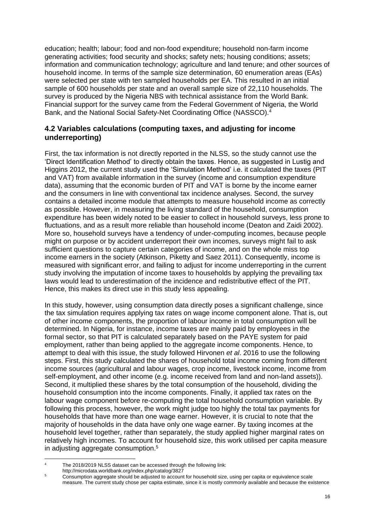education; health; labour; food and non-food expenditure; household non-farm income generating activities; food security and shocks; safety nets; housing conditions; assets; information and communication technology; agriculture and land tenure; and other sources of household income. In terms of the sample size determination, 60 enumeration areas (EAs) were selected per state with ten sampled households per EA. This resulted in an initial sample of 600 households per state and an overall sample size of 22,110 households. The survey is produced by the Nigeria NBS with technical assistance from the World Bank. Financial support for the survey came from the Federal Government of Nigeria, the World Bank, and the National Social Safety-Net Coordinating Office (NASSCO).<sup>4</sup>

### **4.2 Variables calculations (computing taxes, and adjusting for income underreporting)**

First, the tax information is not directly reported in the NLSS, so the study cannot use the 'Direct Identification Method' to directly obtain the taxes. Hence, as suggested in Lustig and Higgins 2012, the current study used the 'Simulation Method' i.e. it calculated the taxes (PIT and VAT) from available information in the survey (income and consumption expenditure data), assuming that the economic burden of PIT and VAT is borne by the income earner and the consumers in line with conventional tax incidence analyses. Second, the survey contains a detailed income module that attempts to measure household income as correctly as possible. However, in measuring the living standard of the household, consumption expenditure has been widely noted to be easier to collect in household surveys, less prone to fluctuations, and as a result more reliable than household income (Deaton and Zaidi 2002). More so, household surveys have a tendency of under-computing incomes, because people might on purpose or by accident underreport their own incomes, surveys might fail to ask sufficient questions to capture certain categories of income, and on the whole miss top income earners in the society (Atkinson, Piketty and Saez 2011). Consequently, income is measured with significant error, and failing to adjust for income underreporting in the current study involving the imputation of income taxes to households by applying the prevailing tax laws would lead to underestimation of the incidence and redistributive effect of the PIT. Hence, this makes its direct use in this study less appealing.

In this study, however, using consumption data directly poses a significant challenge, since the tax simulation requires applying tax rates on wage income component alone. That is, out of other income components, the proportion of labour income in total consumption will be determined. In Nigeria, for instance, income taxes are mainly paid by employees in the formal sector, so that PIT is calculated separately based on the PAYE system for paid employment, rather than being applied to the aggregate income components. Hence, to attempt to deal with this issue, the study followed Hirvonen *et al*. 2016 to use the following steps. First, this study calculated the shares of household total income coming from different income sources (agricultural and labour wages, crop income, livestock income, income from self-employment, and other income (e.g. income received from land and non-land assets)). Second, it multiplied these shares by the total consumption of the household, dividing the household consumption into the income components. Finally, it applied tax rates on the labour wage component before re-computing the total household consumption variable. By following this process, however, the work might judge too highly the total tax payments for households that have more than one wage earner. However, it is crucial to note that the majority of households in the data have only one wage earner. By taxing incomes at the household level together, rather than separately, the study applied higher marginal rates on relatively high incomes. To account for household size, this work utilised per capita measure in adjusting aggregate consumption. 5

<sup>4</sup> The 2018/2019 NLSS dataset can be accessed through the following link:

http://microdata.worldbank.org/index.php/catalog/3827

<sup>5</sup> Consumption aggregate should be adjusted to account for household size, using per capita or equivalence scale measure. The current study chose per capita estimate, since it is mostly commonly available and because the existence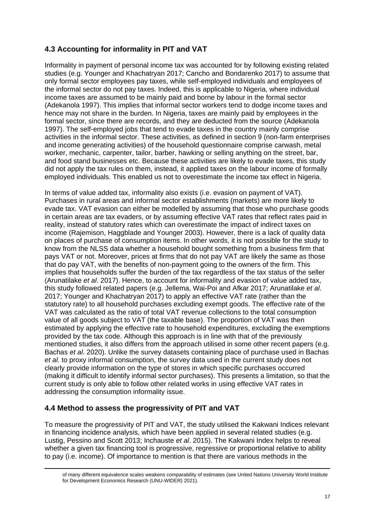### **4.3 Accounting for informality in PIT and VAT**

Informality in payment of personal income tax was accounted for by following existing related studies (e.g. Younger and Khachatryan 2017; Cancho and Bondarenko 2017) to assume that only formal sector employees pay taxes, while self-employed individuals and employees of the informal sector do not pay taxes. Indeed, this is applicable to Nigeria, where individual income taxes are assumed to be mainly paid and borne by labour in the formal sector (Adekanola 1997). This implies that informal sector workers tend to dodge income taxes and hence may not share in the burden. In Nigeria, taxes are mainly paid by employees in the formal sector, since there are records, and they are deducted from the source (Adekanola 1997). The self-employed jobs that tend to evade taxes in the country mainly comprise activities in the informal sector. These activities, as defined in section 9 (non-farm enterprises and income generating activities) of the household questionnaire comprise carwash, metal worker, mechanic, carpenter, tailor, barber, hawking or selling anything on the street, bar, and food stand businesses etc. Because these activities are likely to evade taxes, this study did not apply the tax rules on them, instead, it applied taxes on the labour income of formally employed individuals. This enabled us not to overestimate the income tax effect in Nigeria.

In terms of value added tax, informality also exists (i.e. evasion on payment of VAT). Purchases in rural areas and informal sector establishments (markets) are more likely to evade tax. VAT evasion can either be modelled by assuming that those who purchase goods in certain areas are tax evaders, or by assuming effective VAT rates that reflect rates paid in reality, instead of statutory rates which can overestimate the impact of indirect taxes on income (Rajemison, Haggblade and Younger 2003). However, there is a lack of quality data on places of purchase of consumption items. In other words, it is not possible for the study to know from the NLSS data whether a household bought something from a business firm that pays VAT or not. Moreover, prices at firms that do not pay VAT are likely the same as those that do pay VAT, with the benefits of non-payment going to the owners of the firm. This implies that households suffer the burden of the tax regardless of the tax status of the seller (Arunatilake *et al*. 2017). Hence, to account for informality and evasion of value added tax, this study followed related papers (e.g. Jellema, Wai-Poi and Afkar 2017; Arunatilake *et al*. 2017; Younger and Khachatryan 2017) to apply an effective VAT rate (rather than the statutory rate) to all household purchases excluding exempt goods. The effective rate of the VAT was calculated as the ratio of total VAT revenue collections to the total consumption value of all goods subject to VAT (the taxable base). The proportion of VAT was then estimated by applying the effective rate to household expenditures, excluding the exemptions provided by the tax code. Although this approach is in line with that of the previously mentioned studies, it also differs from the approach utilised in some other recent papers (e.g. Bachas *et al*. 2020). Unlike the survey datasets containing place of purchase used in Bachas *et al*. to proxy informal consumption, the survey data used in the current study does not clearly provide information on the type of stores in which specific purchases occurred (making it difficult to identify informal sector purchases). This presents a limitation, so that the current study is only able to follow other related works in using effective VAT rates in addressing the consumption informality issue.

### **4.4 Method to assess the progressivity of PIT and VAT**

To measure the progressivity of PIT and VAT, the study utilised the Kakwani Indices relevant in financing incidence analysis, which have been applied in several related studies (e.g. Lustig, Pessino and Scott 2013; Inchauste *et al*. 2015). The Kakwani Index helps to reveal whether a given tax financing tool is progressive, regressive or proportional relative to ability to pay (i.e. income). Of importance to mention is that there are various methods in the

of many different equivalence scales weakens comparability of estimates (see United Nations University World Institute for Development Economics Research (UNU-WIDER) 2021).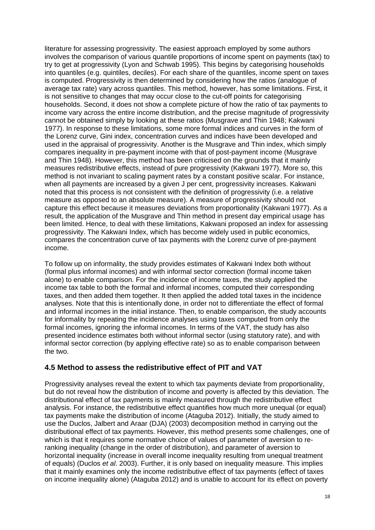literature for assessing progressivity. The easiest approach employed by some authors involves the comparison of various quantile proportions of income spent on payments (tax) to try to get at progressivity (Lyon and Schwab 1995). This begins by categorising households into quantiles (e.g. quintiles, deciles). For each share of the quantiles, income spent on taxes is computed. Progressivity is then determined by considering how the ratios (analogue of average tax rate) vary across quantiles. This method, however, has some limitations. First, it is not sensitive to changes that may occur close to the cut-off points for categorising households. Second, it does not show a complete picture of how the ratio of tax payments to income vary across the entire income distribution, and the precise magnitude of progressivity cannot be obtained simply by looking at these ratios (Musgrave and Thin 1948; Kakwani 1977). In response to these limitations, some more formal indices and curves in the form of the Lorenz curve, Gini index, concentration curves and indices have been developed and used in the appraisal of progressivity. Another is the Musgrave and Thin index, which simply compares inequality in pre-payment income with that of post-payment income (Musgrave and Thin 1948). However, this method has been criticised on the grounds that it mainly measures redistributive effects, instead of pure progressivity (Kakwani 1977). More so, this method is not invariant to scaling payment rates by a constant positive scalar. For instance, when all payments are increased by a given J per cent, progressivity increases. Kakwani noted that this process is not consistent with the definition of progressivity (i.e. a relative measure as opposed to an absolute measure). A measure of progressivity should not capture this effect because it measures deviations from proportionality (Kakwani 1977). As a result, the application of the Musgrave and Thin method in present day empirical usage has been limited. Hence, to deal with these limitations, Kakwani proposed an index for assessing progressivity. The Kakwani Index, which has become widely used in public economics, compares the concentration curve of tax payments with the Lorenz curve of pre-payment income.

To follow up on informality, the study provides estimates of Kakwani Index both without (formal plus informal incomes) and with informal sector correction (formal income taken alone) to enable comparison. For the incidence of income taxes, the study applied the income tax table to both the formal and informal incomes, computed their corresponding taxes, and then added them together. It then applied the added total taxes in the incidence analyses. Note that this is intentionally done, in order not to differentiate the effect of formal and informal incomes in the initial instance. Then, to enable comparison, the study accounts for informality by repeating the incidence analyses using taxes computed from only the formal incomes, ignoring the informal incomes. In terms of the VAT, the study has also presented incidence estimates both without informal sector (using statutory rate), and with informal sector correction (by applying effective rate) so as to enable comparison between the two.

#### **4.5 Method to assess the redistributive effect of PIT and VAT**

Progressivity analyses reveal the extent to which tax payments deviate from proportionality, but do not reveal how the distribution of income and poverty is affected by this deviation. The distributional effect of tax payments is mainly measured through the redistributive effect analysis. For instance, the redistributive effect quantifies how much more unequal (or equal) tax payments make the distribution of income (Ataguba 2012). Initially, the study aimed to use the Duclos, Jalbert and Araar (DJA) (2003) decomposition method in carrying out the distributional effect of tax payments. However, this method presents some challenges, one of which is that it requires some normative choice of values of parameter of aversion to reranking inequality (change in the order of distribution), and parameter of aversion to horizontal inequality (increase in overall income inequality resulting from unequal treatment of equals) (Duclos *et al*. 2003). Further, it is only based on inequality measure. This implies that it mainly examines only the income redistributive effect of tax payments (effect of taxes on income inequality alone) (Ataguba 2012) and is unable to account for its effect on poverty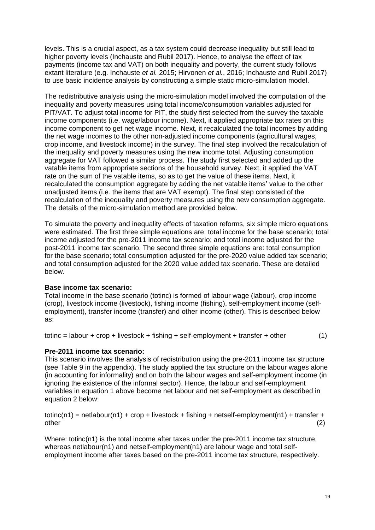levels. This is a crucial aspect, as a tax system could decrease inequality but still lead to higher poverty levels (Inchauste and Rubil 2017). Hence, to analyse the effect of tax payments (income tax and VAT) on both inequality and poverty, the current study follows extant literature (e.g. Inchauste *et al.* 2015; Hirvonen *et al.*, 2016; Inchauste and Rubil 2017) to use basic incidence analysis by constructing a simple static micro-simulation model.

The redistributive analysis using the micro-simulation model involved the computation of the inequality and poverty measures using total income/consumption variables adjusted for PIT/VAT. To adjust total income for PIT, the study first selected from the survey the taxable income components (i.e. wage/labour income). Next, it applied appropriate tax rates on this income component to get net wage income. Next, it recalculated the total incomes by adding the net wage incomes to the other non-adjusted income components (agricultural wages, crop income, and livestock income) in the survey. The final step involved the recalculation of the inequality and poverty measures using the new income total. Adjusting consumption aggregate for VAT followed a similar process. The study first selected and added up the vatable items from appropriate sections of the household survey. Next, it applied the VAT rate on the sum of the vatable items, so as to get the value of these items. Next, it recalculated the consumption aggregate by adding the net vatable items' value to the other unadjusted items (i.e. the items that are VAT exempt). The final step consisted of the recalculation of the inequality and poverty measures using the new consumption aggregate. The details of the micro-simulation method are provided below.

To simulate the poverty and inequality effects of taxation reforms, six simple micro equations were estimated. The first three simple equations are: total income for the base scenario; total income adjusted for the pre-2011 income tax scenario; and total income adjusted for the post-2011 income tax scenario. The second three simple equations are: total consumption for the base scenario; total consumption adjusted for the pre-2020 value added tax scenario; and total consumption adjusted for the 2020 value added tax scenario. These are detailed below.

#### **Base income tax scenario:**

Total income in the base scenario (totinc) is formed of labour wage (labour), crop income (crop), livestock income (livestock), fishing income (fishing), self-employment income (selfemployment), transfer income (transfer) and other income (other). This is described below as:

totinc = labour + crop + livestock + fishing + self-employment + transfer + other  $(1)$ 

#### **Pre-2011 income tax scenario:**

This scenario involves the analysis of redistribution using the pre-2011 income tax structure (see Table 9 in the appendix). The study applied the tax structure on the labour wages alone (in accounting for informality) and on both the labour wages and self-employment income (in ignoring the existence of the informal sector). Hence, the labour and self-employment variables in equation 1 above become net labour and net self-employment as described in equation 2 below:

 $totinc(n1) = netlabour(n1) + crop + lives tok + fishinq + netself-emblovement(n1) + transfer +$ other (2)

Where: totinc(n1) is the total income after taxes under the pre-2011 income tax structure, whereas netlabour(n1) and netself-employment(n1) are labour wage and total selfemployment income after taxes based on the pre-2011 income tax structure, respectively.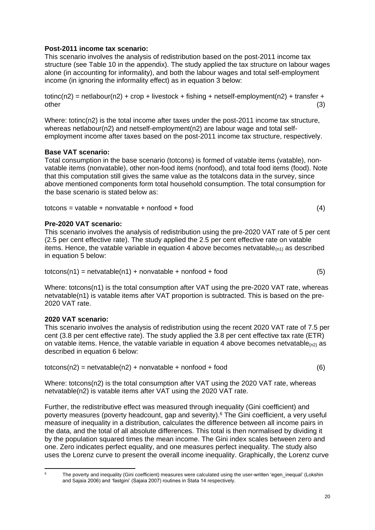#### **Post-2011 income tax scenario:**

This scenario involves the analysis of redistribution based on the post-2011 income tax structure (see Table 10 in the appendix). The study applied the tax structure on labour wages alone (in accounting for informality), and both the labour wages and total self-employment income (in ignoring the informality effect) as in equation 3 below:

 $totinc(n2)$  = netlabour(n2) + crop + livestock + fishing + netself-employment(n2) + transfer + other (3)

Where: totinc(n2) is the total income after taxes under the post-2011 income tax structure, whereas netlabour(n2) and netself-employment(n2) are labour wage and total selfemployment income after taxes based on the post-2011 income tax structure, respectively.

#### **Base VAT scenario:**

Total consumption in the base scenario (totcons) is formed of vatable items (vatable), nonvatable items (nonvatable), other non-food items (nonfood), and total food items (food). Note that this computation still gives the same value as the totalcons data in the survey, since above mentioned components form total household consumption. The total consumption for the base scenario is stated below as:

 $totcons = vatable + nonvatable + nonfood + food$  (4)

#### **Pre-2020 VAT scenario:**

This scenario involves the analysis of redistribution using the pre-2020 VAT rate of 5 per cent (2.5 per cent effective rate). The study applied the 2.5 per cent effective rate on vatable items. Hence, the vatable variable in equation 4 above becomes netvatable $(0,1)$  as described in equation 5 below:

$$
totcons(n1) = netvatable(n1) + nonvatable + nonfood + food
$$
 (5)

Where: totcons(n1) is the total consumption after VAT using the pre-2020 VAT rate, whereas netvatable(n1) is vatable items after VAT proportion is subtracted. This is based on the pre-2020 VAT rate.

#### **2020 VAT scenario:**

This scenario involves the analysis of redistribution using the recent 2020 VAT rate of 7.5 per cent (3.8 per cent effective rate). The study applied the 3.8 per cent effective tax rate (ETR) on vatable items. Hence, the vatable variable in equation 4 above becomes netvatable $_{(n2)}$  as described in equation 6 below:

| $totcons(n2) = netvatable(n2) + nonvatable + nonfood + food$ |  |
|--------------------------------------------------------------|--|
|--------------------------------------------------------------|--|

Where: totcons(n2) is the total consumption after VAT using the 2020 VAT rate, whereas netvatable(n2) is vatable items after VAT using the 2020 VAT rate.

Further, the redistributive effect was measured through inequality (Gini coefficient) and poverty measures (poverty headcount, gap and severity).<sup>6</sup> The Gini coefficient, a very useful measure of inequality in a distribution, calculates the difference between all income pairs in the data, and the total of all absolute differences. This total is then normalised by dividing it by the population squared times the mean income. The Gini index scales between zero and one. Zero indicates perfect equality, and one measures perfect inequality. The study also uses the Lorenz curve to present the overall income inequality. Graphically, the Lorenz curve

The poverty and inequality (Gini coefficient) measures were calculated using the user-written 'egen inequal' (Lokshin and Sajaia 2006) and 'fastgini' (Sajaia 2007) routines in Stata 14 respectively.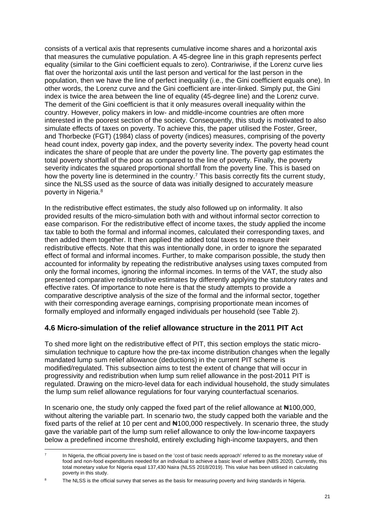consists of a vertical axis that represents cumulative income shares and a horizontal axis that measures the cumulative population. A 45-degree line in this graph represents perfect equality (similar to the Gini coefficient equals to zero). Contrariwise, if the Lorenz curve lies flat over the horizontal axis until the last person and vertical for the last person in the population, then we have the line of perfect inequality (i.e., the Gini coefficient equals one). In other words, the Lorenz curve and the Gini coefficient are inter-linked. Simply put, the Gini index is twice the area between the line of equality (45-degree line) and the Lorenz curve. The demerit of the Gini coefficient is that it only measures overall inequality within the country. However, policy makers in low- and middle-income countries are often more interested in the poorest section of the society. Consequently, this study is motivated to also simulate effects of taxes on poverty. To achieve this, the paper utilised the Foster, Greer, and Thorbecke (FGT) (1984) class of poverty (indices) measures, comprising of the poverty head count index, poverty gap index, and the poverty severity index. The poverty head count indicates the share of people that are under the poverty line. The poverty gap estimates the total poverty shortfall of the poor as compared to the line of poverty. Finally, the poverty severity indicates the squared proportional shortfall from the poverty line. This is based on how the poverty line is determined in the country.<sup>7</sup> This basis correctly fits the current study, since the NLSS used as the source of data was initially designed to accurately measure poverty in Nigeria.<sup>8</sup>

In the redistributive effect estimates, the study also followed up on informality. It also provided results of the micro-simulation both with and without informal sector correction to ease comparison. For the redistributive effect of income taxes, the study applied the income tax table to both the formal and informal incomes, calculated their corresponding taxes, and then added them together. It then applied the added total taxes to measure their redistributive effects. Note that this was intentionally done, in order to ignore the separated effect of formal and informal incomes. Further, to make comparison possible, the study then accounted for informality by repeating the redistributive analyses using taxes computed from only the formal incomes, ignoring the informal incomes. In terms of the VAT, the study also presented comparative redistributive estimates by differently applying the statutory rates and effective rates. Of importance to note here is that the study attempts to provide a comparative descriptive analysis of the size of the formal and the informal sector, together with their corresponding average earnings, comprising proportionate mean incomes of formally employed and informally engaged individuals per household (see Table 2).

### **4.6 Micro-simulation of the relief allowance structure in the 2011 PIT Act**

To shed more light on the redistributive effect of PIT, this section employs the static microsimulation technique to capture how the pre-tax income distribution changes when the legally mandated lump sum relief allowance (deductions) in the current PIT scheme is modified/regulated. This subsection aims to test the extent of change that will occur in progressivity and redistribution when lump sum relief allowance in the post-2011 PIT is regulated. Drawing on the micro-level data for each individual household, the study simulates the lump sum relief allowance regulations for four varying counterfactual scenarios.

In scenario one, the study only capped the fixed part of the relief allowance at  $\text{H}100,000$ , without altering the variable part. In scenario two, the study capped both the variable and the fixed parts of the relief at 10 per cent and  $\#100,000$  respectively. In scenario three, the study gave the variable part of the lump sum relief allowance to only the low-income taxpayers below a predefined income threshold, entirely excluding high-income taxpayers, and then

<sup>7</sup> In Nigeria, the official poverty line is based on the 'cost of basic needs approach' referred to as the monetary value of food and non-food expenditures needed for an individual to achieve a basic level of welfare (NBS 2020). Currently, this total monetary value for Nigeria equal 137,430 Naira (NLSS 2018/2019). This value has been utilised in calculating poverty in this study.

The NLSS is the official survey that serves as the basis for measuring poverty and living standards in Nigeria.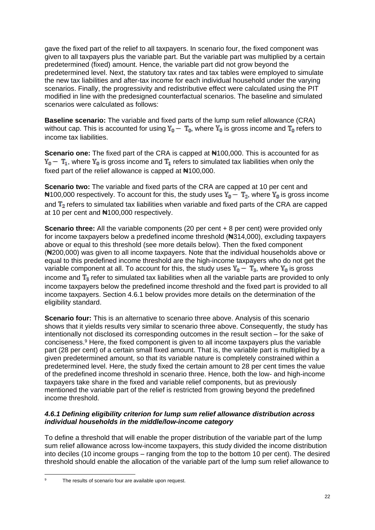gave the fixed part of the relief to all taxpayers. In scenario four, the fixed component was given to all taxpayers plus the variable part. But the variable part was multiplied by a certain predetermined (fixed) amount. Hence, the variable part did not grow beyond the predetermined level. Next, the statutory tax rates and tax tables were employed to simulate the new tax liabilities and after-tax income for each individual household under the varying scenarios. Finally, the progressivity and redistributive effect were calculated using the PIT modified in line with the predesigned counterfactual scenarios. The baseline and simulated scenarios were calculated as follows:

**Baseline scenario:** The variable and fixed parts of the lump sum relief allowance (CRA) without cap. This is accounted for using  $Y_0 - T_0$ , where  $Y_0$  is gross income and  $T_0$  refers to income tax liabilities.

**Scenario one:** The fixed part of the CRA is capped at ₦100,000. This is accounted for as  $Y_0 - T_1$ , where  $Y_0$  is gross income and  $T_1$  refers to simulated tax liabilities when only the fixed part of the relief allowance is capped at  $\text{H}100,000$ .

**Scenario two:** The variable and fixed parts of the CRA are capped at 10 per cent and  $\text{N}100,000$  respectively. To account for this, the study uses  $Y_0 - T_2$ , where  $Y_0$  is gross income and  $T<sub>2</sub>$  refers to simulated tax liabilities when variable and fixed parts of the CRA are capped at 10 per cent and ₦100,000 respectively.

**Scenario three:** All the variable components (20 per cent + 8 per cent) were provided only for income taxpayers below a predefined income threshold ( $\text{A}314,000$ ), excluding taxpayers above or equal to this threshold (see more details below). Then the fixed component (₦200,000) was given to all income taxpayers. Note that the individual households above or equal to this predefined income threshold are the high-income taxpayers who do not get the variable component at all. To account for this, the study uses  $Y_0 - T_3$ , where  $Y_0$  is gross income and  $T_3$  refer to simulated tax liabilities when all the variable parts are provided to only income taxpayers below the predefined income threshold and the fixed part is provided to all income taxpayers. Section 4.6.1 below provides more details on the determination of the eligibility standard.

**Scenario four:** This is an alternative to scenario three above. Analysis of this scenario shows that it yields results very similar to scenario three above. Consequently, the study has intentionally not disclosed its corresponding outcomes in the result section – for the sake of conciseness. <sup>9</sup> Here, the fixed component is given to all income taxpayers plus the variable part (28 per cent) of a certain small fixed amount. That is, the variable part is multiplied by a given predetermined amount, so that its variable nature is completely constrained within a predetermined level. Here, the study fixed the certain amount to 28 per cent times the value of the predefined income threshold in scenario three. Hence, both the low- and high-income taxpayers take share in the fixed and variable relief components, but as previously mentioned the variable part of the relief is restricted from growing beyond the predefined income threshold.

#### *4.6.1 Defining eligibility criterion for lump sum relief allowance distribution across individual households in the middle/low-income category*

To define a threshold that will enable the proper distribution of the variable part of the lump sum relief allowance across low-income taxpayers, this study divided the income distribution into deciles (10 income groups – ranging from the top to the bottom 10 per cent). The desired threshold should enable the allocation of the variable part of the lump sum relief allowance to

The results of scenario four are available upon request.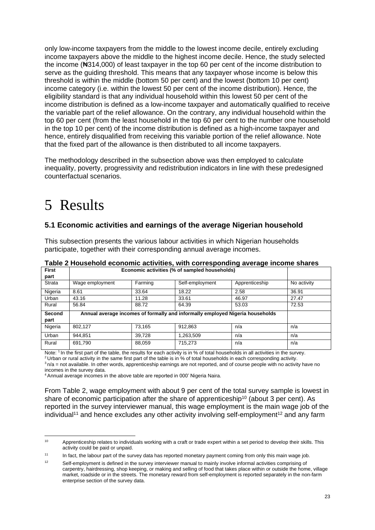only low-income taxpayers from the middle to the lowest income decile, entirely excluding income taxpayers above the middle to the highest income decile. Hence, the study selected the income (₦314,000) of least taxpayer in the top 60 per cent of the income distribution to serve as the guiding threshold. This means that any taxpayer whose income is below this threshold is within the middle (bottom 50 per cent) and the lowest (bottom 10 per cent) income category (i.e. within the lowest 50 per cent of the income distribution). Hence, the eligibility standard is that any individual household within this lowest 50 per cent of the income distribution is defined as a low-income taxpayer and automatically qualified to receive the variable part of the relief allowance. On the contrary, any individual household within the top 60 per cent (from the least household in the top 60 per cent to the number one household in the top 10 per cent) of the income distribution is defined as a high-income taxpayer and hence, entirely disqualified from receiving this variable portion of the relief allowance. Note that the fixed part of the allowance is then distributed to all income taxpayers.

The methodology described in the subsection above was then employed to calculate inequality, poverty, progressivity and redistribution indicators in line with these predesigned counterfactual scenarios.

## 5 Results

### **5.1 Economic activities and earnings of the average Nigerian household**

This subsection presents the various labour activities in which Nigerian households participate, together with their corresponding annual average incomes.

| <b>First</b> | Economic activities (% of sampled households)                                 |         |                 |                |             |  |  |
|--------------|-------------------------------------------------------------------------------|---------|-----------------|----------------|-------------|--|--|
| part         |                                                                               |         |                 |                |             |  |  |
| Strata       | Wage employment                                                               | Farming | Self-employment | Apprenticeship | No activity |  |  |
| Nigeria      | 8.61                                                                          | 33.64   | 18.22           | 2.58           | 36.91       |  |  |
| Urban        | 43.16                                                                         | 11.28   | 33.61           | 46.97          | 27.47       |  |  |
| Rural        | 56.84                                                                         | 88.72   | 64.39           | 53.03          | 72.53       |  |  |
| Second       | Annual average incomes of formally and informally employed Nigeria households |         |                 |                |             |  |  |
| part         |                                                                               |         |                 |                |             |  |  |
| Nigeria      | 802.127                                                                       | 73.165  | 912,863         | n/a            | n/a         |  |  |
| Urban        | 944.851                                                                       | 39,728  | 1,263,509       | n/a            | n/a         |  |  |
| Rural        | 691,790                                                                       | 88,059  | 715,273         | n/a            | n/a         |  |  |

**Table 2 Household economic activities, with corresponding average income shares**

Note: <sup>1</sup> In the first part of the table, the results for each activity is in % of total households in all activities in the survey.

<sup>2</sup> Urban or rural activity in the same first part of the table is in % of total households in each corresponding activity.  $3n/a$  = not available. In other words, apprenticeship earnings are not reported, and of course people with no activity have no incomes in the survey data.

<sup>4</sup> Annual average incomes in the above table are reported in 000' Nigeria Naira.

From Table 2, wage employment with about 9 per cent of the total survey sample is lowest in share of economic participation after the share of apprenticeship<sup>10</sup> (about 3 per cent). As reported in the survey interviewer manual, this wage employment is the main wage job of the  $individual<sup>11</sup>$  and hence excludes any other activity involving self-employment<sup>12</sup> and any farm

<sup>&</sup>lt;sup>10</sup> Apprenticeship relates to individuals working with a craft or trade expert within a set period to develop their skills. This activity could be paid or unpaid.

<sup>&</sup>lt;sup>11</sup> In fact, the labour part of the survey data has reported monetary payment coming from only this main wage job.

<sup>&</sup>lt;sup>12</sup> Self-employment is defined in the survey interviewer manual to mainly involve informal activities comprising of carpentry, hairdressing, shop keeping, or making and selling of food that takes place within or outside the home, village market, roadside or in the streets. The monetary reward from self-employment is reported separately in the non-farm enterprise section of the survey data.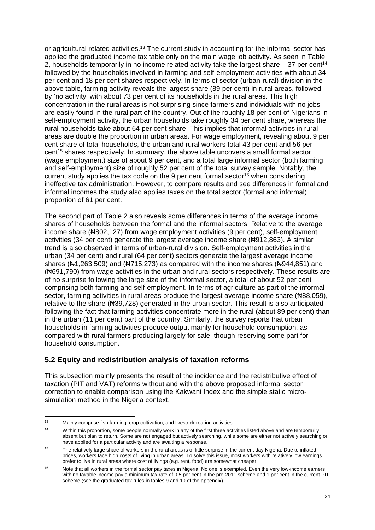or agricultural related activities.<sup>13</sup> The current study in accounting for the informal sector has applied the graduated income tax table only on the main wage job activity. As seen in Table 2, households temporarily in no income related activity take the largest share – 37 per cent<sup>14</sup> followed by the households involved in farming and self-employment activities with about 34 per cent and 18 per cent shares respectively. In terms of sector (urban-rural) division in the above table, farming activity reveals the largest share (89 per cent) in rural areas, followed by 'no activity' with about 73 per cent of its households in the rural areas. This high concentration in the rural areas is not surprising since farmers and individuals with no jobs are easily found in the rural part of the country. Out of the roughly 18 per cent of Nigerians in self-employment activity, the urban households take roughly 34 per cent share, whereas the rural households take about 64 per cent share. This implies that informal activities in rural areas are double the proportion in urban areas. For wage employment, revealing about 9 per cent share of total households, the urban and rural workers total 43 per cent and 56 per cent<sup>15</sup> shares respectively. In summary, the above table uncovers a small formal sector (wage employment) size of about 9 per cent, and a total large informal sector (both farming and self-employment) size of roughly 52 per cent of the total survey sample. Notably, the current study applies the tax code on the 9 per cent formal sector<sup>16</sup> when considering ineffective tax administration. However, to compare results and see differences in formal and informal incomes the study also applies taxes on the total sector (formal and informal) proportion of 61 per cent.

The second part of Table 2 also reveals some differences in terms of the average income shares of households between the formal and the informal sectors. Relative to the average income share (₦802,127) from wage employment activities (9 per cent), self-employment activities (34 per cent) generate the largest average income share (Negality 2,863). A similar trend is also observed in terms of urban-rural division. Self-employment activities in the urban (34 per cent) and rural (64 per cent) sectors generate the largest average income shares ( $\text{H1},263,509$ ) and ( $\text{H715},273$ ) as compared with the income shares ( $\text{H944},851$ ) and (₦691,790) from wage activities in the urban and rural sectors respectively. These results are of no surprise following the large size of the informal sector, a total of about 52 per cent comprising both farming and self-employment. In terms of agriculture as part of the informal sector, farming activities in rural areas produce the largest average income share (#88,059), relative to the share (₦39,728) generated in the urban sector. This result is also anticipated following the fact that farming activities concentrate more in the rural (about 89 per cent) than in the urban (11 per cent) part of the country. Similarly, the survey reports that urban households in farming activities produce output mainly for household consumption, as compared with rural farmers producing largely for sale, though reserving some part for household consumption.

#### **5.2 Equity and redistribution analysis of taxation reforms**

This subsection mainly presents the result of the incidence and the redistributive effect of taxation (PIT and VAT) reforms without and with the above proposed informal sector correction to enable comparison using the Kakwani Index and the simple static microsimulation method in the Nigeria context.

<sup>13</sup> Mainly comprise fish farming, crop cultivation, and livestock rearing activities.

<sup>&</sup>lt;sup>14</sup> Within this proportion, some people normally work in any of the first three activities listed above and are temporarily absent but plan to return. Some are not engaged but actively searching, while some are either not actively searching or have applied for a particular activity and are awaiting a response.

<sup>&</sup>lt;sup>15</sup> The relatively large share of workers in the rural areas is of little surprise in the current day Nigeria. Due to inflated prices, workers face high costs of living in urban areas. To solve this issue, most workers with relatively low earnings prefer to live in rural areas where cost of livings (e.g. rent, food) are somewhat cheaper.

<sup>&</sup>lt;sup>16</sup> Note that all workers in the formal sector pay taxes in Nigeria. No one is exempted. Even the very low-income earners with no taxable income pay a minimum tax rate of 0.5 per cent in the pre-2011 scheme and 1 per cent in the current PIT scheme (see the graduated tax rules in tables 9 and 10 of the appendix).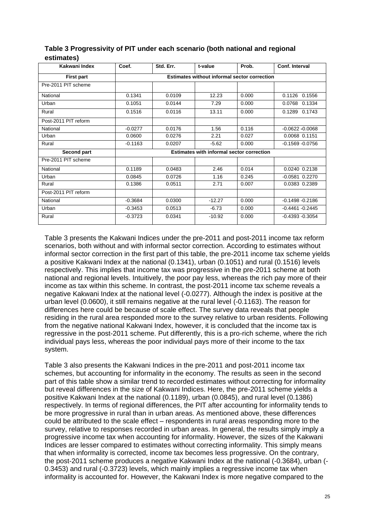| Kakwani Index        | Coef.     | Std. Err. | t-value                                             | Prob. | Conf. Interval     |
|----------------------|-----------|-----------|-----------------------------------------------------|-------|--------------------|
| <b>First part</b>    |           |           | <b>Estimates without informal sector correction</b> |       |                    |
| Pre-2011 PIT scheme  |           |           |                                                     |       |                    |
| National             | 0.1341    | 0.0109    | 12.23                                               | 0.000 | 0.1126 0.1556      |
| Urban                | 0.1051    | 0.0144    | 7.29                                                | 0.000 | 0.0768 0.1334      |
| Rural                | 0.1516    | 0.0116    | 13.11                                               | 0.000 | 0.1289 0.1743      |
| Post-2011 PIT reform |           |           |                                                     |       |                    |
| National             | $-0.0277$ | 0.0176    | 1.56                                                | 0.116 | $-0.0622 - 0.0068$ |
| Urban                | 0.0600    | 0.0276    | 2.21                                                | 0.027 | 0.0068 0.1151      |
| Rural                | $-0.1163$ | 0.0207    | $-5.62$                                             | 0.000 | $-0.1569 - 0.0756$ |
| Second part          |           |           | <b>Estimates with informal sector correction</b>    |       |                    |
| Pre-2011 PIT scheme  |           |           |                                                     |       |                    |
| National             | 0.1189    | 0.0483    | 2.46                                                | 0.014 | 0.0240 0.2138      |
| Urban                | 0.0845    | 0.0726    | 1.16                                                | 0.245 | $-0.0581$ $0.2270$ |
| Rural                | 0.1386    | 0.0511    | 2.71                                                | 0.007 | 0.0383 0.2389      |
| Post-2011 PIT reform |           |           |                                                     |       |                    |
| National             | $-0.3684$ | 0.0300    | $-12.27$                                            | 0.000 | $-0.1498 - 0.2186$ |
| Urban                | $-0.3453$ | 0.0513    | $-6.73$                                             | 0.000 | $-0.4461 - 0.2445$ |
| Rural                | $-0.3723$ | 0.0341    | $-10.92$                                            | 0.000 | $-0.4393 - 0.3054$ |

### **Table 3 Progressivity of PIT under each scenario (both national and regional estimates)**

Table 3 presents the Kakwani Indices under the pre-2011 and post-2011 income tax reform scenarios, both without and with informal sector correction. According to estimates without informal sector correction in the first part of this table, the pre-2011 income tax scheme yields a positive Kakwani Index at the national (0.1341), urban (0.1051) and rural (0.1516) levels respectively. This implies that income tax was progressive in the pre-2011 scheme at both national and regional levels. Intuitively, the poor pay less, whereas the rich pay more of their income as tax within this scheme. In contrast, the post-2011 income tax scheme reveals a negative Kakwani Index at the national level (-0.0277). Although the index is positive at the urban level (0.0600), it still remains negative at the rural level (-0.1163). The reason for differences here could be because of scale effect. The survey data reveals that people residing in the rural area responded more to the survey relative to urban residents. Following from the negative national Kakwani Index, however, it is concluded that the income tax is regressive in the post-2011 scheme. Put differently, this is a pro-rich scheme, where the rich individual pays less, whereas the poor individual pays more of their income to the tax system.

Table 3 also presents the Kakwani Indices in the pre-2011 and post-2011 income tax schemes, but accounting for informality in the economy. The results as seen in the second part of this table show a similar trend to recorded estimates without correcting for informality but reveal differences in the size of Kakwani Indices. Here, the pre-2011 scheme yields a positive Kakwani Index at the national (0.1189), urban (0.0845), and rural level (0.1386) respectively. In terms of regional differences, the PIT after accounting for informality tends to be more progressive in rural than in urban areas. As mentioned above, these differences could be attributed to the scale effect – respondents in rural areas responding more to the survey, relative to responses recorded in urban areas. In general, the results simply imply a progressive income tax when accounting for informality. However, the sizes of the Kakwani Indices are lesser compared to estimates without correcting informality. This simply means that when informality is corrected, income tax becomes less progressive. On the contrary, the post-2011 scheme produces a negative Kakwani Index at the national (-0.3684), urban (- 0.3453) and rural (-0.3723) levels, which mainly implies a regressive income tax when informality is accounted for. However, the Kakwani Index is more negative compared to the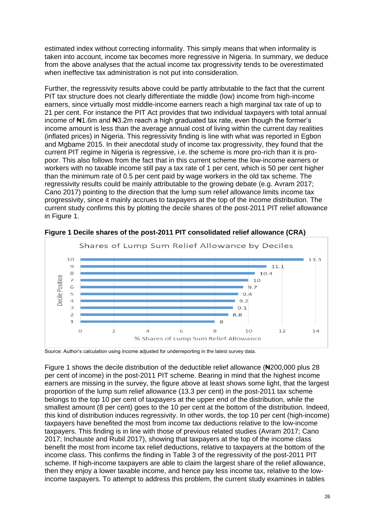estimated index without correcting informality. This simply means that when informality is taken into account, income tax becomes more regressive in Nigeria. In summary, we deduce from the above analyses that the actual income tax progressivity tends to be overestimated when ineffective tax administration is not put into consideration.

Further, the regressivity results above could be partly attributable to the fact that the current PIT tax structure does not clearly differentiate the middle (low) income from high-income earners, since virtually most middle-income earners reach a high marginal tax rate of up to 21 per cent. For instance the PIT Act provides that two individual taxpayers with total annual income of N41.6m and N3.2m reach a high graduated tax rate, even though the former's income amount is less than the average annual cost of living within the current day realities (inflated prices) in Nigeria. This regressivity finding is line with what was reported in Egbon and Mgbame 2015. In their anecdotal study of income tax progressivity, they found that the current PIT regime in Nigeria is regressive, i.e. the scheme is more pro-rich than it is propoor. This also follows from the fact that in this current scheme the low-income earners or workers with no taxable income still pay a tax rate of 1 per cent, which is 50 per cent higher than the minimum rate of 0.5 per cent paid by wage workers in the old tax scheme. The regressivity results could be mainly attributable to the growing debate (e.g. Avram 2017; Cano 2017) pointing to the direction that the lump sum relief allowance limits income tax progressivity, since it mainly accrues to taxpayers at the top of the income distribution. The current study confirms this by plotting the decile shares of the post-2011 PIT relief allowance in Figure 1.



**Figure 1 Decile shares of the post-2011 PIT consolidated relief allowance (CRA)**

Source: Author's calculation using income adjusted for underreporting in the latest survey data.

Figure 1 shows the decile distribution of the deductible relief allowance (₦200,000 plus 28 per cent of income) in the post-2011 PIT scheme. Bearing in mind that the highest income earners are missing in the survey, the figure above at least shows some light, that the largest proportion of the lump sum relief allowance (13.3 per cent) in the post-2011 tax scheme belongs to the top 10 per cent of taxpayers at the upper end of the distribution, while the smallest amount (8 per cent) goes to the 10 per cent at the bottom of the distribution. Indeed, this kind of distribution induces regressivity. In other words, the top 10 per cent (high-income) taxpayers have benefited the most from income tax deductions relative to the low-income taxpayers. This finding is in line with those of previous related studies (Avram 2017; Cano 2017; Inchauste and Rubil 2017), showing that taxpayers at the top of the income class benefit the most from income tax relief deductions, relative to taxpayers at the bottom of the income class. This confirms the finding in Table 3 of the regressivity of the post-2011 PIT scheme. If high-income taxpayers are able to claim the largest share of the relief allowance, then they enjoy a lower taxable income, and hence pay less income tax, relative to the lowincome taxpayers. To attempt to address this problem, the current study examines in tables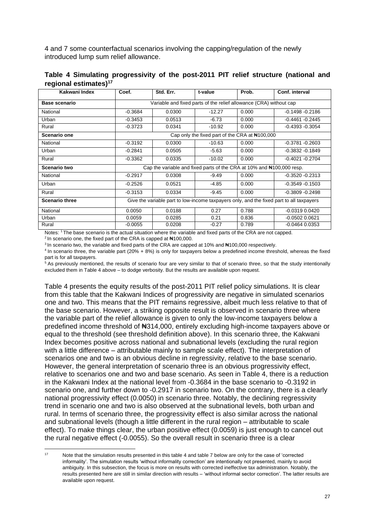4 and 7 some counterfactual scenarios involving the capping/regulation of the newly introduced lump sum relief allowance.

| Kakwani Index         | Coef.                                                                                    | Std. Err.                                                             | t-value  | Prob.                                                   | Conf. interval     |
|-----------------------|------------------------------------------------------------------------------------------|-----------------------------------------------------------------------|----------|---------------------------------------------------------|--------------------|
| <b>Base scenario</b>  |                                                                                          | Variable and fixed parts of the relief allowance (CRA) without cap    |          |                                                         |                    |
| National              | $-0.3684$                                                                                | 0.0300                                                                | $-12.27$ | 0.000                                                   | $-0.1498 - 0.2186$ |
| Urban                 | $-0.3453$                                                                                | 0.0513                                                                | $-6.73$  | 0.000                                                   | $-0.4461 - 0.2445$ |
| Rural                 | $-0.3723$                                                                                | 0.0341                                                                | $-10.92$ | 0.000                                                   | $-0.4393 - 0.3054$ |
| Scenario one          |                                                                                          |                                                                       |          | Cap only the fixed part of the CRA at $\text{N}100,000$ |                    |
| National              | $-0.3192$                                                                                | 0.0300                                                                | $-10.63$ | 0.000                                                   | $-0.3781 - 0.2603$ |
| Urban                 | $-0.2841$                                                                                | 0.0505                                                                | $-5.63$  | 0.000                                                   | $-0.3832 - 0.1849$ |
| Rural                 | $-0.3362$                                                                                | 0.0335                                                                | $-10.02$ | 0.000                                                   | $-0.4021 - 0.2704$ |
| Scenario two          |                                                                                          | Cap the variable and fixed parts of the CRA at 10% and #100,000 resp. |          |                                                         |                    |
| National              | $-0.2917$                                                                                | 0.0308                                                                | $-9.49$  | 0.000                                                   | $-0.3520 - 0.2313$ |
| Urban                 | $-0.2526$                                                                                | 0.0521                                                                | $-4.85$  | 0.000                                                   | $-0.3549 - 0.1503$ |
| Rural                 | $-0.3153$                                                                                | 0.0334                                                                | $-9.45$  | 0.000                                                   | $-0.3809 - 0.2498$ |
| <b>Scenario three</b> | Give the variable part to low-income taxpayers only, and the fixed part to all taxpayers |                                                                       |          |                                                         |                    |
| National              | 0.0050                                                                                   | 0.0188                                                                | 0.27     | 0.788                                                   | $-0.0319$ $0.0420$ |
| Urban                 | 0.0059                                                                                   | 0.0285                                                                | 0.21     | 0.836                                                   | $-0.0502$ $0.0621$ |
| Rural                 | $-0.0055$                                                                                | 0.0208                                                                | $-0.27$  | 0.789                                                   | $-0.0464$ $0.0353$ |

**Table 4 Simulating progressivity of the post-2011 PIT relief structure (national and regional estimates)<sup>17</sup>**

Notes: <sup>1</sup>The base scenario is the actual situation where the variable and fixed parts of the CRA are not capped.

<sup>2</sup> In scenario one, the fixed part of the CRA is capped at  $\text{H}100,000$ .

<sup>3</sup> In scenario two, the variable and fixed parts of the CRA are capped at 10% and  $\text{H}100,000$  respectively.

<sup>4</sup> In scenario three, the variable part (20% + 8%) is only for taxpayers below a predefined income threshold, whereas the fixed part is for all taxpayers.

 $5$  As previously mentioned, the results of scenario four are very similar to that of scenario three, so that the study intentionally excluded them in Table 4 above – to dodge verbosity. But the results are available upon request.

Table 4 presents the equity results of the post-2011 PIT relief policy simulations. It is clear from this table that the Kakwani Indices of progressivity are negative in simulated scenarios one and two. This means that the PIT remains regressive, albeit much less relative to that of the base scenario. However, a striking opposite result is observed in scenario three where the variable part of the relief allowance is given to only the low-income taxpayers below a predefined income threshold of ₦314,000, entirely excluding high-income taxpayers above or equal to the threshold (see threshold definition above). In this scenario three, the Kakwani Index becomes positive across national and subnational levels (excluding the rural region with a little difference – attributable mainly to sample scale effect). The interpretation of scenarios one and two is an obvious decline in regressivity, relative to the base scenario. However, the general interpretation of scenario three is an obvious progressivity effect, relative to scenarios one and two and base scenario. As seen in Table 4, there is a reduction in the Kakwani Index at the national level from -0.3684 in the base scenario to -0.3192 in scenario one, and further down to -0.2917 in scenario two. On the contrary, there is a clearly national progressivity effect (0.0050) in scenario three. Notably, the declining regressivity trend in scenario one and two is also observed at the subnational levels, both urban and rural. In terms of scenario three, the progressivity effect is also similar across the national and subnational levels (though a little different in the rural region – attributable to scale effect). To make things clear, the urban positive effect (0.0059) is just enough to cancel out the rural negative effect (-0.0055). So the overall result in scenario three is a clear

<sup>17</sup> Note that the simulation results presented in this table 4 and table 7 below are only for the case of 'corrected informality'. The simulation results 'without informality correction' are intentionally not presented, mainly to avoid ambiguity. In this subsection, the focus is more on results with corrected ineffective tax administration. Notably, the results presented here are still in similar direction with results – 'without informal sector correction'. The latter results are available upon request.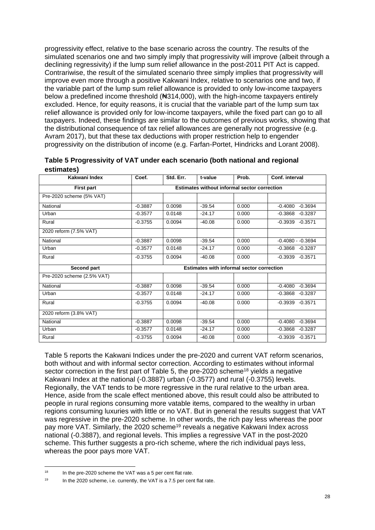progressivity effect, relative to the base scenario across the country. The results of the simulated scenarios one and two simply imply that progressivity will improve (albeit through a declining regressivity) if the lump sum relief allowance in the post-2011 PIT Act is capped. Contrariwise, the result of the simulated scenario three simply implies that progressivity will improve even more through a positive Kakwani Index, relative to scenarios one and two, if the variable part of the lump sum relief allowance is provided to only low-income taxpayers below a predefined income threshold ( $\text{A}314,000$ ), with the high-income taxpayers entirely excluded. Hence, for equity reasons, it is crucial that the variable part of the lump sum tax relief allowance is provided only for low-income taxpayers, while the fixed part can go to all taxpayers. Indeed, these findings are similar to the outcomes of previous works, showing that the distributional consequence of tax relief allowances are generally not progressive (e.g. Avram 2017), but that these tax deductions with proper restriction help to engender progressivity on the distribution of income (e.g. Farfan-Portet, Hindricks and Lorant 2008).

| Kakwani Index              | Coef.                                               | Std. Err. | t-value  | Prob.                                            | Conf. interval         |  |  |
|----------------------------|-----------------------------------------------------|-----------|----------|--------------------------------------------------|------------------------|--|--|
| <b>First part</b>          | <b>Estimates without informal sector correction</b> |           |          |                                                  |                        |  |  |
| Pre-2020 scheme (5% VAT)   |                                                     |           |          |                                                  |                        |  |  |
| National                   | $-0.3887$                                           | 0.0098    | $-39.54$ | 0.000                                            | $-0.3694$<br>$-0.4080$ |  |  |
| Urban                      | $-0.3577$                                           | 0.0148    | $-24.17$ | 0.000                                            | $-0.3868$<br>$-0.3287$ |  |  |
| Rural                      | $-0.3755$                                           | 0.0094    | $-40.08$ | 0.000                                            | $-0.3939 - 0.3571$     |  |  |
| 2020 reform (7.5% VAT)     |                                                     |           |          |                                                  |                        |  |  |
| National                   | $-0.3887$                                           | 0.0098    | $-39.54$ | 0.000                                            | $-0.4080 - 0.3694$     |  |  |
| Urban                      | $-0.3577$                                           | 0.0148    | $-24.17$ | 0.000                                            | $-0.3868 - 0.3287$     |  |  |
| Rural                      | $-0.3755$                                           | 0.0094    | $-40.08$ | 0.000                                            | $-0.3939 - 0.3571$     |  |  |
| Second part                |                                                     |           |          | <b>Estimates with informal sector correction</b> |                        |  |  |
| Pre-2020 scheme (2.5% VAT) |                                                     |           |          |                                                  |                        |  |  |
| National                   | $-0.3887$                                           | 0.0098    | $-39.54$ | 0.000                                            | $-0.4080$<br>$-0.3694$ |  |  |
| Urban                      | $-0.3577$                                           | 0.0148    | $-24.17$ | 0.000                                            | $-0.3287$<br>$-0.3868$ |  |  |
| Rural                      | $-0.3755$                                           | 0.0094    | $-40.08$ | 0.000                                            | $-0.3939 - 0.3571$     |  |  |
| 2020 reform (3.8% VAT)     |                                                     |           |          |                                                  |                        |  |  |
| National                   | $-0.3887$                                           | 0.0098    | $-39.54$ | 0.000                                            | $-0.3694$<br>$-0.4080$ |  |  |
| Urban                      | $-0.3577$                                           | 0.0148    | $-24.17$ | 0.000                                            | $-0.3868$<br>$-0.3287$ |  |  |
| Rural                      | $-0.3755$                                           | 0.0094    | $-40.08$ | 0.000                                            | $-0.3939 - 0.3571$     |  |  |

| Table 5 Progressivity of VAT under each scenario (both national and regional |  |
|------------------------------------------------------------------------------|--|
| estimates)                                                                   |  |

Table 5 reports the Kakwani Indices under the pre-2020 and current VAT reform scenarios, both without and with informal sector correction. According to estimates without informal sector correction in the first part of Table 5, the pre-2020 scheme<sup>18</sup> yields a negative Kakwani Index at the national (-0.3887) urban (-0.3577) and rural (-0.3755) levels. Regionally, the VAT tends to be more regressive in the rural relative to the urban area. Hence, aside from the scale effect mentioned above, this result could also be attributed to people in rural regions consuming more vatable items, compared to the wealthy in urban regions consuming luxuries with little or no VAT. But in general the results suggest that VAT was regressive in the pre-2020 scheme. In other words, the rich pay less whereas the poor pay more VAT. Similarly, the 2020 scheme<sup>19</sup> reveals a negative Kakwani Index across national (-0.3887), and regional levels. This implies a regressive VAT in the post-2020 scheme. This further suggests a pro-rich scheme, where the rich individual pays less, whereas the poor pays more VAT.

 $18$  In the pre-2020 scheme the VAT was a 5 per cent flat rate.

<sup>&</sup>lt;sup>19</sup> In the 2020 scheme, i.e. currently, the VAT is a 7.5 per cent flat rate.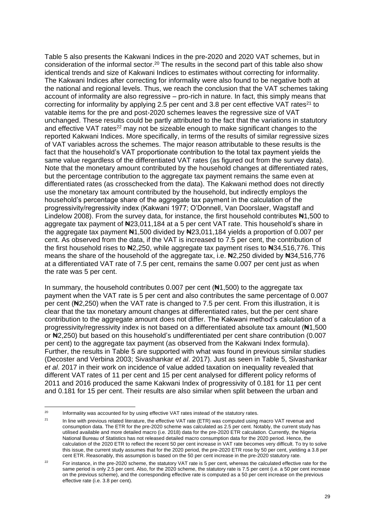Table 5 also presents the Kakwani Indices in the pre-2020 and 2020 VAT schemes, but in consideration of the informal sector.<sup>20</sup> The results in the second part of this table also show identical trends and size of Kakwani Indices to estimates without correcting for informality. The Kakwani Indices after correcting for informality were also found to be negative both at the national and regional levels. Thus, we reach the conclusion that the VAT schemes taking account of informality are also regressive – pro-rich in nature. In fact, this simply means that correcting for informality by applying 2.5 per cent and 3.8 per cent effective VAT rates<sup>21</sup> to vatable items for the pre and post-2020 schemes leaves the regressive size of VAT unchanged. These results could be partly attributed to the fact that the variations in statutory and effective VAT rates<sup>22</sup> may not be sizeable enough to make significant changes to the reported Kakwani Indices. More specifically, in terms of the results of similar regressive sizes of VAT variables across the schemes. The major reason attributable to these results is the fact that the household's VAT proportionate contribution to the total tax payment yields the same value regardless of the differentiated VAT rates (as figured out from the survey data). Note that the monetary amount contributed by the household changes at differentiated rates, but the percentage contribution to the aggregate tax payment remains the same even at differentiated rates (as crosschecked from the data). The Kakwani method does not directly use the monetary tax amount contributed by the household, but indirectly employs the household's percentage share of the aggregate tax payment in the calculation of the progressivity/regressivity index (Kakwani 1977; O'Donnell, Van Doorslaer, Wagstaff and Lindelow 2008). From the survey data, for instance, the first household contributes  $\text{H}1,500$  to aggregate tax payment of  $\frac{123,011,184}{1}$  at a 5 per cent VAT rate. This household's share in the aggregate tax payment #1,500 divided by #23,011,184 yields a proportion of 0.007 per cent. As observed from the data, if the VAT is increased to 7.5 per cent, the contribution of the first household rises to  $\frac{1}{2}$ , 250, while aggregate tax payment rises to  $\frac{1}{2}$ , 516,776. This means the share of the household of the aggregate tax, i.e. ₦2,250 divided by ₦34,516,776 at a differentiated VAT rate of 7.5 per cent, remains the same 0.007 per cent just as when the rate was 5 per cent.

In summary, the household contributes  $0.007$  per cent ( $\pm 1.500$ ) to the aggregate tax payment when the VAT rate is 5 per cent and also contributes the same percentage of 0.007 per cent (N2,250) when the VAT rate is changed to 7.5 per cent. From this illustration, it is clear that the tax monetary amount changes at differentiated rates, but the per cent share contribution to the aggregate amount does not differ. The Kakwani method's calculation of a progressivity/regressivity index is not based on a differentiated absolute tax amount (₦1,500 or ₦2,250) but based on this household's undifferentiated per cent share contribution (0.007 per cent) to the aggregate tax payment (as observed from the Kakwani Index formula). Further, the results in Table 5 are supported with what was found in previous similar studies (Decoster and Verbina 2003; Sivashankar *et al*. 2017). Just as seen in Table 5, Sivashankar *et al*. 2017 in their work on incidence of value added taxation on inequality revealed that different VAT rates of 11 per cent and 15 per cent analysed for different policy reforms of 2011 and 2016 produced the same Kakwani Index of progressivity of 0.181 for 11 per cent and 0.181 for 15 per cent. Their results are also similar when split between the urban and

 $20$  Informality was accounted for by using effective VAT rates instead of the statutory rates.

<sup>&</sup>lt;sup>21</sup> In line with previous related literature, the effective VAT rate (ETR) was computed using macro VAT revenue and consumption data. The ETR for the pre-2020 scheme was calculated as 2.5 per cent. Notably, the current study has utilised available and more detailed macro (i.e. 2018) data for the pre-2020 ETR calculation. Currently, the Nigeria National Bureau of Statistics has not released detailed macro consumption data for the 2020 period. Hence, the calculation of the 2020 ETR to reflect the recent 50 per cent increase in VAT rate becomes very difficult. To try to solve this issue, the current study assumes that for the 2020 period, the pre-2020 ETR rose by 50 per cent, yielding a 3.8 per cent ETR. Reasonably, this assumption is based on the 50 per cent increase in the pre-2020 statutory rate.

<sup>&</sup>lt;sup>22</sup> For instance, in the pre-2020 scheme, the statutory VAT rate is 5 per cent, whereas the calculated effective rate for the same period is only 2.5 per cent. Also, for the 2020 scheme, the statutory rate is 7.5 per cent (i.e. a 50 per cent increase on the previous scheme), and the corresponding effective rate is computed as a 50 per cent increase on the previous effective rate (i.e. 3.8 per cent).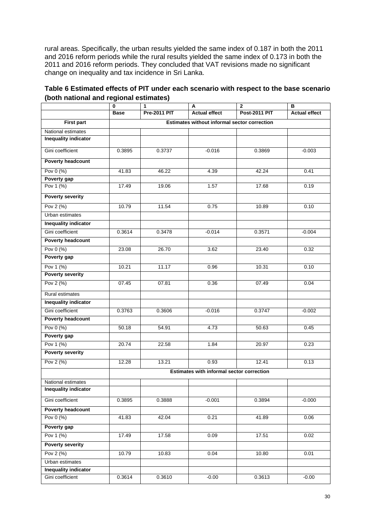rural areas. Specifically, the urban results yielded the same index of 0.187 in both the 2011 and 2016 reform periods while the rural results yielded the same index of 0.173 in both the 2011 and 2016 reform periods. They concluded that VAT revisions made no significant change on inequality and tax incidence in Sri Lanka.

|                             | 0                                            | 1                   | Α                                                | $\mathbf{2}$         | в                    |  |  |
|-----------------------------|----------------------------------------------|---------------------|--------------------------------------------------|----------------------|----------------------|--|--|
|                             | <b>Base</b>                                  | <b>Pre-2011 PIT</b> | <b>Actual effect</b>                             | <b>Post-2011 PIT</b> | <b>Actual effect</b> |  |  |
| <b>First part</b>           | Estimates without informal sector correction |                     |                                                  |                      |                      |  |  |
| National estimates          |                                              |                     |                                                  |                      |                      |  |  |
| <b>Inequality indicator</b> |                                              |                     |                                                  |                      |                      |  |  |
| Gini coefficient            | 0.3895                                       | 0.3737              | $-0.016$                                         | 0.3869               | $-0.003$             |  |  |
| <b>Poverty headcount</b>    |                                              |                     |                                                  |                      |                      |  |  |
| Pov 0 (%)                   | 41.83                                        | 46.22               | 4.39                                             | 42.24                | 0.41                 |  |  |
| Poverty gap                 |                                              |                     |                                                  |                      |                      |  |  |
| Pov 1 (%)                   | 17.49                                        | 19.06               | 1.57                                             | 17.68                | 0.19                 |  |  |
| <b>Poverty severity</b>     |                                              |                     |                                                  |                      |                      |  |  |
| Pov 2 (%)                   | 10.79                                        | 11.54               | 0.75                                             | 10.89                | 0.10                 |  |  |
| Urban estimates             |                                              |                     |                                                  |                      |                      |  |  |
| <b>Inequality indicator</b> |                                              |                     |                                                  |                      |                      |  |  |
| Gini coefficient            | 0.3614                                       | 0.3478              | $-0.014$                                         | 0.3571               | $-0.004$             |  |  |
| <b>Poverty headcount</b>    |                                              |                     |                                                  |                      |                      |  |  |
| Pov 0 (%)                   | 23.08                                        | 26.70               | 3.62                                             | 23.40                | 0.32                 |  |  |
| Poverty gap                 |                                              |                     |                                                  |                      |                      |  |  |
| Pov 1 (%)                   | 10.21                                        | 11.17               | 0.96                                             | 10.31                | 0.10                 |  |  |
| <b>Poverty severity</b>     |                                              |                     |                                                  |                      |                      |  |  |
| Pov 2 (%)                   | 07.45                                        | 07.81               | 0.36                                             | 07.49                | 0.04                 |  |  |
| Rural estimates             |                                              |                     |                                                  |                      |                      |  |  |
| Inequality indicator        |                                              |                     |                                                  |                      |                      |  |  |
| Gini coefficient            | 0.3763                                       | 0.3606              | $-0.016$                                         | 0.3747               | $-0.002$             |  |  |
| <b>Poverty headcount</b>    |                                              |                     |                                                  |                      |                      |  |  |
| Pov 0 (%)                   | 50.18                                        | 54.91               | 4.73                                             | 50.63                | 0.45                 |  |  |
| Poverty gap                 |                                              |                     |                                                  |                      |                      |  |  |
| Pov 1 (%)                   | 20.74                                        | 22.58               | 1.84                                             | 20.97                | 0.23                 |  |  |
| <b>Poverty severity</b>     |                                              |                     |                                                  |                      |                      |  |  |
| Pov 2 (%)                   | 12.28                                        | 13.21               | 0.93                                             | 12.41                | 0.13                 |  |  |
|                             |                                              |                     | <b>Estimates with informal sector correction</b> |                      |                      |  |  |
| National estimates          |                                              |                     |                                                  |                      |                      |  |  |
| <b>Inequality indicator</b> |                                              |                     |                                                  |                      |                      |  |  |
| Gini coefficient            | 0.3895                                       | 0.3888              | $-0.001$                                         | 0.3894               | $-0.000$             |  |  |
| Poverty headcount           |                                              |                     |                                                  |                      |                      |  |  |
| Pov 0 (%)                   | 41.83                                        | 42.04               | 0.21                                             | 41.89                | 0.06                 |  |  |
| Poverty gap                 |                                              |                     |                                                  |                      |                      |  |  |
| Pov 1 (%)                   | 17.49                                        | 17.58               | 0.09                                             | 17.51                | 0.02                 |  |  |
| Poverty severity            |                                              |                     |                                                  |                      |                      |  |  |
| Pov 2 (%)                   | 10.79                                        | 10.83               | 0.04                                             | 10.80                | 0.01                 |  |  |
| Urban estimates             |                                              |                     |                                                  |                      |                      |  |  |
| <b>Inequality indicator</b> |                                              |                     |                                                  |                      |                      |  |  |
| Gini coefficient            | 0.3614                                       | 0.3610              | $-0.00$                                          | 0.3613               | $-0.00$              |  |  |

### **Table 6 Estimated effects of PIT under each scenario with respect to the base scenario (both national and regional estimates)**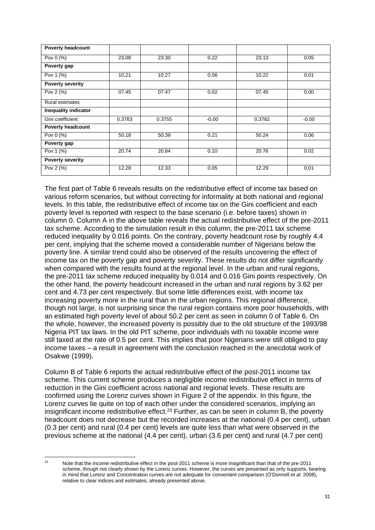| <b>Poverty headcount</b>    |        |        |         |        |         |
|-----------------------------|--------|--------|---------|--------|---------|
| Pov 0 (%)                   | 23.08  | 23.30  | 0.22    | 23.13  | 0.05    |
| Poverty gap                 |        |        |         |        |         |
| Pov 1 (%)                   | 10.21  | 10.27  | 0.06    | 10.22  | 0.01    |
| <b>Poverty severity</b>     |        |        |         |        |         |
| Pov 2 (%)                   | 07.45  | 07.47  | 0.02    | 07.45  | 0.00    |
| <b>Rural estimates</b>      |        |        |         |        |         |
| <b>Inequality indicator</b> |        |        |         |        |         |
| Gini coefficient            | 0.3763 | 0.3755 | $-0.00$ | 0.3762 | $-0.00$ |
| <b>Poverty headcount</b>    |        |        |         |        |         |
| Pov 0 (%)                   | 50.18  | 50.39  | 0.21    | 50.24  | 0.06    |
| Poverty gap                 |        |        |         |        |         |
| Pov 1 (%)                   | 20.74  | 20.84  | 0.10    | 20.76  | 0.02    |
| <b>Poverty severity</b>     |        |        |         |        |         |
| Pov 2 (%)                   | 12.28  | 12.33  | 0.05    | 12.29  | 0.01    |

The first part of Table 6 reveals results on the redistributive effect of income tax based on various reform scenarios, but without correcting for informality at both national and regional levels. In this table, the redistributive effect of income tax on the Gini coefficient and each poverty level is reported with respect to the base scenario (i.e. before taxes) shown in column 0. Column A in the above table reveals the actual redistributive effect of the pre-2011 tax scheme. According to the simulation result in this column, the pre-2011 tax scheme reduced inequality by 0.016 points. On the contrary, poverty headcount rose by roughly 4.4 per cent, implying that the scheme moved a considerable number of Nigerians below the poverty line. A similar trend could also be observed of the results uncovering the effect of income tax on the poverty gap and poverty severity. These results do not differ significantly when compared with the results found at the regional level. In the urban and rural regions, the pre-2011 tax scheme reduced inequality by 0.014 and 0.016 Gini points respectively. On the other hand, the poverty headcount increased in the urban and rural regions by 3.62 per cent and 4.73 per cent respectively. But some little differences exist, with income tax increasing poverty more in the rural than in the urban regions. This regional difference, though not large, is not surprising since the rural region contains more poor households, with an estimated high poverty level of about 50.2 per cent as seen in column 0 of Table 6. On the whole, however, the increased poverty is possibly due to the old structure of the 1993/98 Nigeria PIT tax laws. In the old PIT scheme, poor individuals with no taxable income were still taxed at the rate of 0.5 per cent. This implies that poor Nigerians were still obliged to pay income taxes – a result in agreement with the conclusion reached in the anecdotal work of Osakwe (1999).

Column B of Table 6 reports the actual redistributive effect of the post-2011 income tax scheme. This current scheme produces a negligible income redistributive effect in terms of reduction in the Gini coefficient across national and regional levels. These results are confirmed using the Lorenz curves shown in Figure 2 of the appendix. In this figure, the Lorenz curves lie quite on top of each other under the considered scenarios, implying an insignificant income redistributive effect.<sup>23</sup> Further, as can be seen in column B, the poverty headcount does not decrease but the recorded increases at the national (0.4 per cent), urban (0.3 per cent) and rural (0.4 per cent) levels are quite less than what were observed in the previous scheme at the national (4.4 per cent), urban (3.6 per cent) and rural (4.7 per cent)

<sup>&</sup>lt;sup>23</sup> Note that the income redistributive effect in the post-2011 scheme is more insignificant than that of the pre-2011 scheme, though not clearly shown by the Lorenz curves. However, the curves are presented as only supports, bearing in mind that Lorenz and Concentration curves are not adequate for convenient comparison (O'Donnell *et al*. 2008), relative to clear indices and estimates, already presented above.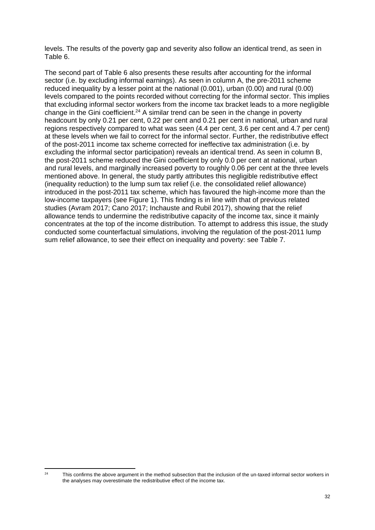levels. The results of the poverty gap and severity also follow an identical trend, as seen in Table 6.

The second part of Table 6 also presents these results after accounting for the informal sector (i.e. by excluding informal earnings). As seen in column A, the pre-2011 scheme reduced inequality by a lesser point at the national (0.001), urban (0.00) and rural (0.00) levels compared to the points recorded without correcting for the informal sector. This implies that excluding informal sector workers from the income tax bracket leads to a more negligible change in the Gini coefficient. <sup>24</sup> A similar trend can be seen in the change in poverty headcount by only 0.21 per cent, 0.22 per cent and 0.21 per cent in national, urban and rural regions respectively compared to what was seen (4.4 per cent, 3.6 per cent and 4.7 per cent) at these levels when we fail to correct for the informal sector. Further, the redistributive effect of the post-2011 income tax scheme corrected for ineffective tax administration (i.e. by excluding the informal sector participation) reveals an identical trend. As seen in column B, the post-2011 scheme reduced the Gini coefficient by only 0.0 per cent at national, urban and rural levels, and marginally increased poverty to roughly 0.06 per cent at the three levels mentioned above. In general, the study partly attributes this negligible redistributive effect (inequality reduction) to the lump sum tax relief (i.e. the consolidated relief allowance) introduced in the post-2011 tax scheme, which has favoured the high-income more than the low-income taxpayers (see Figure 1). This finding is in line with that of previous related studies (Avram 2017; Cano 2017; Inchauste and Rubil 2017), showing that the relief allowance tends to undermine the redistributive capacity of the income tax, since it mainly concentrates at the top of the income distribution. To attempt to address this issue, the study conducted some counterfactual simulations, involving the regulation of the post-2011 lump sum relief allowance, to see their effect on inequality and poverty: see Table 7.

<sup>&</sup>lt;sup>24</sup> This confirms the above argument in the method subsection that the inclusion of the un-taxed informal sector workers in the analyses may overestimate the redistributive effect of the income tax.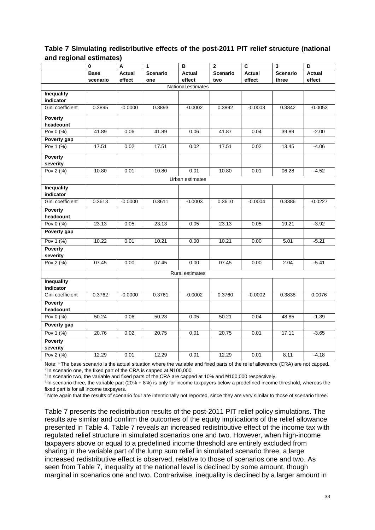|                                | $\bf{0}$    | A         | $\mathbf{1}$    | в                  | $\mathbf{2}$    | $\overline{\mathbf{c}}$ | 3               | D             |
|--------------------------------|-------------|-----------|-----------------|--------------------|-----------------|-------------------------|-----------------|---------------|
|                                | <b>Base</b> | Actual    | <b>Scenario</b> | Actual             | <b>Scenario</b> | <b>Actual</b>           | <b>Scenario</b> | <b>Actual</b> |
|                                | scenario    | effect    | one             | effect             | two             | effect                  | three           | effect        |
|                                |             |           |                 | National estimates |                 |                         |                 |               |
| <b>Inequality</b><br>indicator |             |           |                 |                    |                 |                         |                 |               |
| Gini coefficient               | 0.3895      | $-0.0000$ | 0.3893          | $-0.0002$          | 0.3892          | $-0.0003$               | 0.3842          | $-0.0053$     |
|                                |             |           |                 |                    |                 |                         |                 |               |
| <b>Poverty</b>                 |             |           |                 |                    |                 |                         |                 |               |
| headcount                      |             |           |                 |                    |                 |                         |                 |               |
| Pov 0 (%)                      | 41.89       | 0.06      | 41.89           | 0.06               | 41.87           | 0.04                    | 39.89           | $-2.00$       |
| Poverty gap                    |             |           |                 |                    |                 |                         |                 |               |
| Pov 1 (%)                      | 17.51       | 0.02      | 17.51           | 0.02               | 17.51           | 0.02                    | 13.45           | $-4.06$       |
| <b>Poverty</b>                 |             |           |                 |                    |                 |                         |                 |               |
| severity                       |             |           |                 |                    |                 |                         |                 |               |
| Pov 2 (%)                      | 10.80       | 0.01      | 10.80           | 0.01               | 10.80           | 0.01                    | 06.28           | $-4.52$       |
|                                |             |           |                 | Urban estimates    |                 |                         |                 |               |
| <b>Inequality</b>              |             |           |                 |                    |                 |                         |                 |               |
| indicator                      |             |           |                 |                    |                 |                         |                 |               |
| Gini coefficient               | 0.3613      | $-0.0000$ | 0.3611          | $-0.0003$          | 0.3610          | $-0.0004$               | 0.3386          | $-0.0227$     |
| Poverty                        |             |           |                 |                    |                 |                         |                 |               |
| headcount                      |             |           |                 |                    |                 |                         |                 |               |
| Pov 0 (%)                      | 23.13       | 0.05      | 23.13           | 0.05               | 23.13           | 0.05                    | 19.21           | $-3.92$       |
| Poverty gap                    |             |           |                 |                    |                 |                         |                 |               |
| Pov 1 (%)                      | 10.22       | 0.01      | 10.21           | 0.00               | 10.21           | 0.00                    | 5.01            | $-5.21$       |
| <b>Poverty</b>                 |             |           |                 |                    |                 |                         |                 |               |
| severity                       |             |           |                 |                    |                 |                         |                 |               |
| Pov 2 (%)                      | 07.45       | 0.00      | 07.45           | 0.00               | 07.45           | 0.00                    | 2.04            | $-5.41$       |
|                                |             |           |                 | Rural estimates    |                 |                         |                 |               |
| <b>Inequality</b>              |             |           |                 |                    |                 |                         |                 |               |
| indicator                      |             |           |                 |                    |                 |                         |                 |               |
| Gini coefficient               | 0.3762      | $-0.0000$ | 0.3761          | $-0.0002$          | 0.3760          | $-0.0002$               | 0.3838          | 0.0076        |
| Poverty                        |             |           |                 |                    |                 |                         |                 |               |
| headcount                      |             |           |                 |                    |                 |                         |                 |               |
| Pov 0 (%)                      | 50.24       | 0.06      | 50.23           | 0.05               | 50.21           | 0.04                    | 48.85           | $-1.39$       |
| Poverty gap                    |             |           |                 |                    |                 |                         |                 |               |
| Pov 1 (%)                      | 20.76       | 0.02      | 20.75           | 0.01               | 20.75           | 0.01                    | 17.11           | $-3.65$       |
| <b>Poverty</b>                 |             |           |                 |                    |                 |                         |                 |               |
| severity                       |             |           |                 |                    |                 |                         |                 |               |
| Pov 2 (%)                      | 12.29       | 0.01      | 12.29           | 0.01               | 12.29           | 0.01                    | 8.11            | $-4.18$       |

### **Table 7 Simulating redistributive effects of the post-2011 PIT relief structure (national and regional estimates)**

Note: <sup>1</sup>The base scenario is the actual situation where the variable and fixed parts of the relief allowance (CRA) are not capped. <sup>2</sup> In scenario one, the fixed part of the CRA is capped at  $\text{H}100,000$ .

<sup>3</sup> In scenario two, the variable and fixed parts of the CRA are capped at 10% and  $\#100,000$  respectively.

<sup>4</sup> In scenario three, the variable part (20% + 8%) is only for income taxpayers below a predefined income threshold, whereas the fixed part is for all income taxpayers.

<sup>5</sup> Note again that the results of scenario four are intentionally not reported, since they are very similar to those of scenario three.

Table 7 presents the redistribution results of the post-2011 PIT relief policy simulations. The results are similar and confirm the outcomes of the equity implications of the relief allowance presented in Table 4. Table 7 reveals an increased redistributive effect of the income tax with regulated relief structure in simulated scenarios one and two. However, when high-income taxpayers above or equal to a predefined income threshold are entirely excluded from sharing in the variable part of the lump sum relief in simulated scenario three, a large increased redistributive effect is observed, relative to those of scenarios one and two. As seen from Table 7, inequality at the national level is declined by some amount, though marginal in scenarios one and two. Contrariwise, inequality is declined by a larger amount in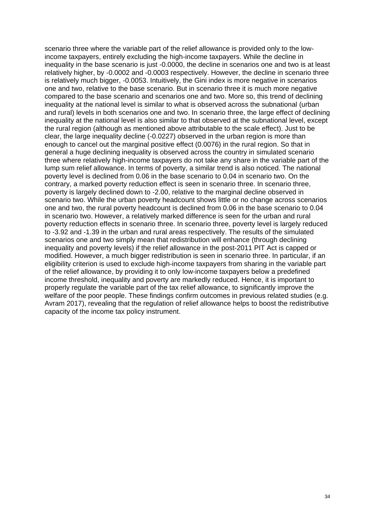scenario three where the variable part of the relief allowance is provided only to the lowincome taxpayers, entirely excluding the high-income taxpayers. While the decline in inequality in the base scenario is just -0.0000, the decline in scenarios one and two is at least relatively higher, by -0.0002 and -0.0003 respectively. However, the decline in scenario three is relatively much bigger, -0.0053. Intuitively, the Gini index is more negative in scenarios one and two, relative to the base scenario. But in scenario three it is much more negative compared to the base scenario and scenarios one and two. More so, this trend of declining inequality at the national level is similar to what is observed across the subnational (urban and rural) levels in both scenarios one and two. In scenario three, the large effect of declining inequality at the national level is also similar to that observed at the subnational level, except the rural region (although as mentioned above attributable to the scale effect). Just to be clear, the large inequality decline (-0.0227) observed in the urban region is more than enough to cancel out the marginal positive effect (0.0076) in the rural region. So that in general a huge declining inequality is observed across the country in simulated scenario three where relatively high-income taxpayers do not take any share in the variable part of the lump sum relief allowance. In terms of poverty, a similar trend is also noticed. The national poverty level is declined from 0.06 in the base scenario to 0.04 in scenario two. On the contrary, a marked poverty reduction effect is seen in scenario three. In scenario three, poverty is largely declined down to -2.00, relative to the marginal decline observed in scenario two. While the urban poverty headcount shows little or no change across scenarios one and two, the rural poverty headcount is declined from 0.06 in the base scenario to 0.04 in scenario two. However, a relatively marked difference is seen for the urban and rural poverty reduction effects in scenario three. In scenario three, poverty level is largely reduced to -3.92 and -1.39 in the urban and rural areas respectively. The results of the simulated scenarios one and two simply mean that redistribution will enhance (through declining inequality and poverty levels) if the relief allowance in the post-2011 PIT Act is capped or modified. However, a much bigger redistribution is seen in scenario three. In particular, if an eligibility criterion is used to exclude high-income taxpayers from sharing in the variable part of the relief allowance, by providing it to only low-income taxpayers below a predefined income threshold, inequality and poverty are markedly reduced. Hence, it is important to properly regulate the variable part of the tax relief allowance, to significantly improve the welfare of the poor people. These findings confirm outcomes in previous related studies (e.g. Avram 2017), revealing that the regulation of relief allowance helps to boost the redistributive capacity of the income tax policy instrument.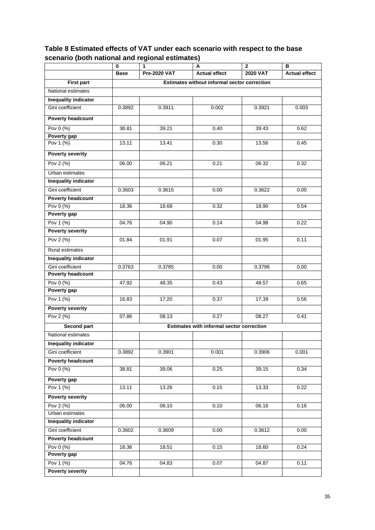## **Table 8 Estimated effects of VAT under each scenario with respect to the base scenario (both national and regional estimates)**

|                             | 0                                            | 1                   | А                                         | $\mathbf{2}$    | в                    |  |  |  |
|-----------------------------|----------------------------------------------|---------------------|-------------------------------------------|-----------------|----------------------|--|--|--|
|                             | <b>Base</b>                                  | <b>Pre-2020 VAT</b> | <b>Actual effect</b>                      | <b>2020 VAT</b> | <b>Actual effect</b> |  |  |  |
| <b>First part</b>           | Estimates without informal sector correction |                     |                                           |                 |                      |  |  |  |
| National estimates          |                                              |                     |                                           |                 |                      |  |  |  |
| <b>Inequality indicator</b> |                                              |                     |                                           |                 |                      |  |  |  |
| Gini coefficient            | 0.3892                                       | 0.3911              | 0.002                                     | 0.3921          | 0.003                |  |  |  |
| <b>Poverty headcount</b>    |                                              |                     |                                           |                 |                      |  |  |  |
| Pov 0 (%)                   | 38.81                                        | 39.21               | 0.40                                      | 39.43           | 0.62                 |  |  |  |
| Poverty gap                 |                                              |                     |                                           |                 |                      |  |  |  |
| Pov 1 (%)                   | 13.11                                        | 13.41               | 0.30                                      | 13.56           | 0.45                 |  |  |  |
| <b>Poverty severity</b>     |                                              |                     |                                           |                 |                      |  |  |  |
| Pov 2 (%)                   | 06.00                                        | 06.21               | 0.21                                      | 06.32           | 0.32                 |  |  |  |
| Urban estimates             |                                              |                     |                                           |                 |                      |  |  |  |
| <b>Inequality indicator</b> |                                              |                     |                                           |                 |                      |  |  |  |
| Gini coefficient            | 0.3603                                       | 0.3615              | 0.00                                      | 0.3622          | 0.00                 |  |  |  |
| <b>Poverty headcount</b>    |                                              |                     |                                           |                 |                      |  |  |  |
| Pov 0 (%)                   | 18.36                                        | 18.68               | 0.32                                      | 18.90           | 0.54                 |  |  |  |
| Poverty gap                 |                                              |                     |                                           |                 |                      |  |  |  |
| Pov 1 (%)                   | 04.76                                        | 04.90               | 0.14                                      | 04.98           | 0.22                 |  |  |  |
| <b>Poverty severity</b>     |                                              |                     |                                           |                 |                      |  |  |  |
| Pov 2 (%)                   | 01.84                                        | 01.91               | 0.07                                      | 01.95           | 0.11                 |  |  |  |
| Rural estimates             |                                              |                     |                                           |                 |                      |  |  |  |
| <b>Inequality indicator</b> |                                              |                     |                                           |                 |                      |  |  |  |
| Gini coefficient            | 0.3763                                       | 0.3785              | 0.00                                      | 0.3796          | 0.00                 |  |  |  |
| <b>Poverty headcount</b>    |                                              |                     |                                           |                 |                      |  |  |  |
| Pov 0 (%)                   | 47.92                                        | 48.35               | 0.43                                      | 48.57           | 0.65                 |  |  |  |
| Poverty gap                 |                                              |                     |                                           |                 |                      |  |  |  |
| Pov 1 (%)                   | 16.83                                        | 17.20               | 0.37                                      | 17.39           | 0.56                 |  |  |  |
| <b>Poverty severity</b>     |                                              |                     |                                           |                 |                      |  |  |  |
| Pov 2 (%)                   | 07.86                                        | 08.13               | 0.27                                      | 08.27           | 0.41                 |  |  |  |
| <b>Second part</b>          |                                              |                     | Estimates with informal sector correction |                 |                      |  |  |  |
| National estimates          |                                              |                     |                                           |                 |                      |  |  |  |
| Inequality indicator        |                                              |                     |                                           |                 |                      |  |  |  |
| Gini coefficient            | 0.3892                                       | 0.3901              | 0.001                                     | 0.3906          | 0.001                |  |  |  |
| <b>Poverty headcount</b>    |                                              |                     |                                           |                 |                      |  |  |  |
| Pov 0 (%)                   | 38.81                                        | 39.06               | 0.25                                      | 39.15           | 0.34                 |  |  |  |
| Poverty gap                 |                                              |                     |                                           |                 |                      |  |  |  |
| Pov 1 (%)                   | 13.11                                        | 13.26               | 0.15                                      | 13.33           | 0.22                 |  |  |  |
| <b>Poverty severity</b>     |                                              |                     |                                           |                 |                      |  |  |  |
| Pov 2 (%)                   | 06.00                                        | 06.10               | 0.10                                      | 06.16           | 0.16                 |  |  |  |
| Urban estimates             |                                              |                     |                                           |                 |                      |  |  |  |
| <b>Inequality indicator</b> |                                              |                     |                                           |                 |                      |  |  |  |
| Gini coefficient            | 0.3602                                       | 0.3609              | 0.00                                      | 0.3612          | 0.00                 |  |  |  |
| <b>Poverty headcount</b>    |                                              |                     |                                           |                 |                      |  |  |  |
| Pov 0 (%)                   | 18.36                                        | 18.51               | 0.15                                      | 18.60           | 0.24                 |  |  |  |
| Poverty gap                 |                                              |                     |                                           |                 |                      |  |  |  |
| Pov 1 (%)                   | 04.76                                        | 04.83               | 0.07                                      | 04.87           | 0.11                 |  |  |  |
| <b>Poverty severity</b>     |                                              |                     |                                           |                 |                      |  |  |  |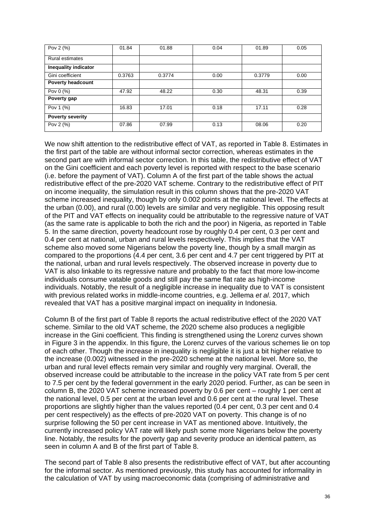| Pov 2 (%)                | 01.84  | 01.88  | 0.04 | 01.89  | 0.05 |
|--------------------------|--------|--------|------|--------|------|
| <b>Rural estimates</b>   |        |        |      |        |      |
| Inequality indicator     |        |        |      |        |      |
| Gini coefficient         | 0.3763 | 0.3774 | 0.00 | 0.3779 | 0.00 |
| <b>Poverty headcount</b> |        |        |      |        |      |
| Pov 0 (%)                | 47.92  | 48.22  | 0.30 | 48.31  | 0.39 |
| Poverty gap              |        |        |      |        |      |
| Pov 1 (%)                | 16.83  | 17.01  | 0.18 | 17.11  | 0.28 |
| <b>Poverty severity</b>  |        |        |      |        |      |
| Pov 2 (%)                | 07.86  | 07.99  | 0.13 | 08.06  | 0.20 |

We now shift attention to the redistributive effect of VAT, as reported in Table 8. Estimates in the first part of the table are without informal sector correction, whereas estimates in the second part are with informal sector correction. In this table, the redistributive effect of VAT on the Gini coefficient and each poverty level is reported with respect to the base scenario (i.e. before the payment of VAT). Column A of the first part of the table shows the actual redistributive effect of the pre-2020 VAT scheme. Contrary to the redistributive effect of PIT on income inequality, the simulation result in this column shows that the pre-2020 VAT scheme increased inequality, though by only 0.002 points at the national level. The effects at the urban (0.00), and rural (0.00) levels are similar and very negligible. This opposing result of the PIT and VAT effects on inequality could be attributable to the regressive nature of VAT (as the same rate is applicable to both the rich and the poor) in Nigeria, as reported in Table 5. In the same direction, poverty headcount rose by roughly 0.4 per cent, 0.3 per cent and 0.4 per cent at national, urban and rural levels respectively. This implies that the VAT scheme also moved some Nigerians below the poverty line, though by a small margin as compared to the proportions (4.4 per cent, 3.6 per cent and 4.7 per cent triggered by PIT at the national, urban and rural levels respectively. The observed increase in poverty due to VAT is also linkable to its regressive nature and probably to the fact that more low-income individuals consume vatable goods and still pay the same flat rate as high-income individuals. Notably, the result of a negligible increase in inequality due to VAT is consistent with previous related works in middle-income countries, e.g. Jellema *et al*. 2017, which revealed that VAT has a positive marginal impact on inequality in Indonesia.

Column B of the first part of Table 8 reports the actual redistributive effect of the 2020 VAT scheme. Similar to the old VAT scheme, the 2020 scheme also produces a negligible increase in the Gini coefficient. This finding is strengthened using the Lorenz curves shown in Figure 3 in the appendix. In this figure, the Lorenz curves of the various schemes lie on top of each other. Though the increase in inequality is negligible it is just a bit higher relative to the increase (0.002) witnessed in the pre-2020 scheme at the national level. More so, the urban and rural level effects remain very similar and roughly very marginal. Overall, the observed increase could be attributable to the increase in the policy VAT rate from 5 per cent to 7.5 per cent by the federal government in the early 2020 period. Further, as can be seen in column B, the 2020 VAT scheme increased poverty by 0.6 per cent – roughly 1 per cent at the national level, 0.5 per cent at the urban level and 0.6 per cent at the rural level. These proportions are slightly higher than the values reported (0.4 per cent, 0.3 per cent and 0.4 per cent respectively) as the effects of pre-2020 VAT on poverty. This change is of no surprise following the 50 per cent increase in VAT as mentioned above. Intuitively, the currently increased policy VAT rate will likely push some more Nigerians below the poverty line. Notably, the results for the poverty gap and severity produce an identical pattern, as seen in column A and B of the first part of Table 8.

The second part of Table 8 also presents the redistributive effect of VAT, but after accounting for the informal sector. As mentioned previously, this study has accounted for informality in the calculation of VAT by using macroeconomic data (comprising of administrative and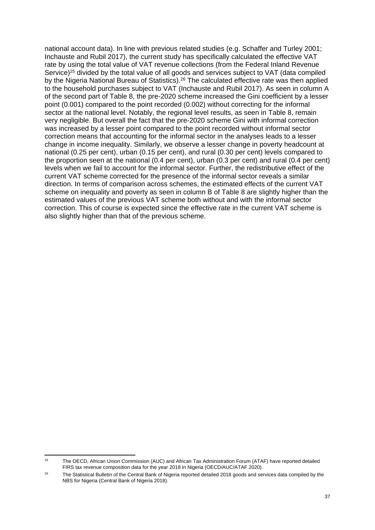national account data). In line with previous related studies (e.g. Schaffer and Turley 2001; Inchauste and Rubil 2017), the current study has specifically calculated the effective VAT rate by using the total value of VAT revenue collections (from the Federal Inland Revenue Service)<sup>25</sup> divided by the total value of all goods and services subject to VAT (data compiled by the Nigeria National Bureau of Statistics).<sup>26</sup> The calculated effective rate was then applied to the household purchases subject to VAT (Inchauste and Rubil 2017). As seen in column A of the second part of Table 8, the pre-2020 scheme increased the Gini coefficient by a lesser point (0.001) compared to the point recorded (0.002) without correcting for the informal sector at the national level. Notably, the regional level results, as seen in Table 8, remain very negligible. But overall the fact that the pre-2020 scheme Gini with informal correction was increased by a lesser point compared to the point recorded without informal sector correction means that accounting for the informal sector in the analyses leads to a lesser change in income inequality. Similarly, we observe a lesser change in poverty headcount at national (0.25 per cent), urban (0.15 per cent), and rural (0.30 per cent) levels compared to the proportion seen at the national (0.4 per cent), urban (0.3 per cent) and rural (0.4 per cent) levels when we fail to account for the informal sector. Further, the redistributive effect of the current VAT scheme corrected for the presence of the informal sector reveals a similar direction. In terms of comparison across schemes, the estimated effects of the current VAT scheme on inequality and poverty as seen in column B of Table 8 are slightly higher than the estimated values of the previous VAT scheme both without and with the informal sector correction. This of course is expected since the effective rate in the current VAT scheme is also slightly higher than that of the previous scheme.

<sup>&</sup>lt;sup>25</sup> The OECD, African Union Commission (AUC) and African Tax Administration Forum (ATAF) have reported detailed FIRS tax revenue composition data for the year 2018 in Nigeria (OECD/AUC/ATAF 2020).

<sup>&</sup>lt;sup>26</sup> The Statistical Bulletin of the Central Bank of Nigeria reported detailed 2018 goods and services data compiled by the NBS for Nigeria (Central Bank of Nigeria 2018).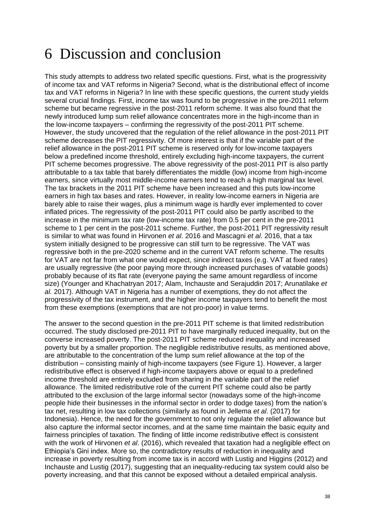## 6 Discussion and conclusion

This study attempts to address two related specific questions. First, what is the progressivity of income tax and VAT reforms in Nigeria? Second, what is the distributional effect of income tax and VAT reforms in Nigeria? In line with these specific questions, the current study yields several crucial findings. First, income tax was found to be progressive in the pre-2011 reform scheme but became regressive in the post-2011 reform scheme. It was also found that the newly introduced lump sum relief allowance concentrates more in the high-income than in the low-income taxpayers – confirming the regressivity of the post-2011 PIT scheme. However, the study uncovered that the regulation of the relief allowance in the post-2011 PIT scheme decreases the PIT regressivity. Of more interest is that if the variable part of the relief allowance in the post-2011 PIT scheme is reserved only for low-income taxpayers below a predefined income threshold, entirely excluding high-income taxpayers, the current PIT scheme becomes progressive. The above regressivity of the post-2011 PIT is also partly attributable to a tax table that barely differentiates the middle (low) income from high-income earners, since virtually most middle-income earners tend to reach a high marginal tax level. The tax brackets in the 2011 PIT scheme have been increased and this puts low-income earners in high tax bases and rates. However, in reality low-income earners in Nigeria are barely able to raise their wages, plus a minimum wage is hardly ever implemented to cover inflated prices. The regressivity of the post-2011 PIT could also be partly ascribed to the increase in the minimum tax rate (low-income tax rate) from 0.5 per cent in the pre-2011 scheme to 1 per cent in the post-2011 scheme. Further, the post-2011 PIT regressivity result is similar to what was found in Hirvonen *et al*. 2016 and Mascagni *et al*. 2016, that a tax system initially designed to be progressive can still turn to be regressive. The VAT was regressive both in the pre-2020 scheme and in the current VAT reform scheme. The results for VAT are not far from what one would expect, since indirect taxes (e.g. VAT at fixed rates) are usually regressive (the poor paying more through increased purchases of vatable goods) probably because of its flat rate (everyone paying the same amount regardless of income size) (Younger and Khachatryan 2017; Alam, Inchauste and Serajuddin 2017; Arunatilake *et al.* 2017). Although VAT in Nigeria has a number of exemptions, they do not affect the progressivity of the tax instrument, and the higher income taxpayers tend to benefit the most from these exemptions (exemptions that are not pro-poor) in value terms.

The answer to the second question in the pre-2011 PIT scheme is that limited redistribution occurred. The study disclosed pre-2011 PIT to have marginally reduced inequality, but on the converse increased poverty. The post-2011 PIT scheme reduced inequality and increased poverty but by a smaller proportion. The negligible redistributive results, as mentioned above, are attributable to the concentration of the lump sum relief allowance at the top of the distribution – consisting mainly of high-income taxpayers (see Figure 1). However, a larger redistributive effect is observed if high-income taxpayers above or equal to a predefined income threshold are entirely excluded from sharing in the variable part of the relief allowance. The limited redistributive role of the current PIT scheme could also be partly attributed to the exclusion of the large informal sector (nowadays some of the high-income people hide their businesses in the informal sector in order to dodge taxes) from the nation's tax net, resulting in low tax collections (similarly as found in Jellema *et al*. (2017) for Indonesia). Hence, the need for the government to not only regulate the relief allowance but also capture the informal sector incomes, and at the same time maintain the basic equity and fairness principles of taxation. The finding of little income redistributive effect is consistent with the work of Hirvonen *et al*. (2016), which revealed that taxation had a negligible effect on Ethiopia's Gini index. More so, the contradictory results of reduction in inequality and increase in poverty resulting from income tax is in accord with Lustig and Higgins (2012) and Inchauste and Lustig (2017), suggesting that an inequality-reducing tax system could also be poverty increasing, and that this cannot be exposed without a detailed empirical analysis.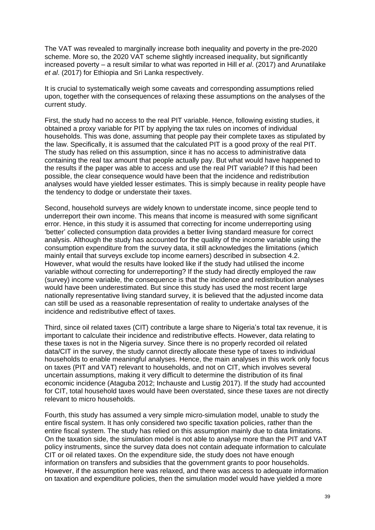The VAT was revealed to marginally increase both inequality and poverty in the pre-2020 scheme. More so, the 2020 VAT scheme slightly increased inequality, but significantly increased poverty – a result similar to what was reported in Hill *et al*. (2017) and Arunatilake *et al*. (2017) for Ethiopia and Sri Lanka respectively.

It is crucial to systematically weigh some caveats and corresponding assumptions relied upon, together with the consequences of relaxing these assumptions on the analyses of the current study.

First, the study had no access to the real PIT variable. Hence, following existing studies, it obtained a proxy variable for PIT by applying the tax rules on incomes of individual households. This was done, assuming that people pay their complete taxes as stipulated by the law. Specifically, it is assumed that the calculated PIT is a good proxy of the real PIT. The study has relied on this assumption, since it has no access to administrative data containing the real tax amount that people actually pay. But what would have happened to the results if the paper was able to access and use the real PIT variable? If this had been possible, the clear consequence would have been that the incidence and redistribution analyses would have yielded lesser estimates. This is simply because in reality people have the tendency to dodge or understate their taxes.

Second, household surveys are widely known to understate income, since people tend to underreport their own income. This means that income is measured with some significant error. Hence, in this study it is assumed that correcting for income underreporting using 'better' collected consumption data provides a better living standard measure for correct analysis. Although the study has accounted for the quality of the income variable using the consumption expenditure from the survey data, it still acknowledges the limitations (which mainly entail that surveys exclude top income earners) described in subsection 4.2. However, what would the results have looked like if the study had utilised the income variable without correcting for underreporting? If the study had directly employed the raw (survey) income variable, the consequence is that the incidence and redistribution analyses would have been underestimated. But since this study has used the most recent large nationally representative living standard survey, it is believed that the adjusted income data can still be used as a reasonable representation of reality to undertake analyses of the incidence and redistributive effect of taxes.

Third, since oil related taxes (CIT) contribute a large share to Nigeria's total tax revenue, it is important to calculate their incidence and redistributive effects. However, data relating to these taxes is not in the Nigeria survey. Since there is no properly recorded oil related data/CIT in the survey, the study cannot directly allocate these type of taxes to individual households to enable meaningful analyses. Hence, the main analyses in this work only focus on taxes (PIT and VAT) relevant to households, and not on CIT, which involves several uncertain assumptions, making it very difficult to determine the distribution of its final economic incidence (Ataguba 2012; Inchauste and Lustig 2017). If the study had accounted for CIT, total household taxes would have been overstated, since these taxes are not directly relevant to micro households.

Fourth, this study has assumed a very simple micro-simulation model, unable to study the entire fiscal system. It has only considered two specific taxation policies, rather than the entire fiscal system. The study has relied on this assumption mainly due to data limitations. On the taxation side, the simulation model is not able to analyse more than the PIT and VAT policy instruments, since the survey data does not contain adequate information to calculate CIT or oil related taxes. On the expenditure side, the study does not have enough information on transfers and subsidies that the government grants to poor households. However, if the assumption here was relaxed, and there was access to adequate information on taxation and expenditure policies, then the simulation model would have yielded a more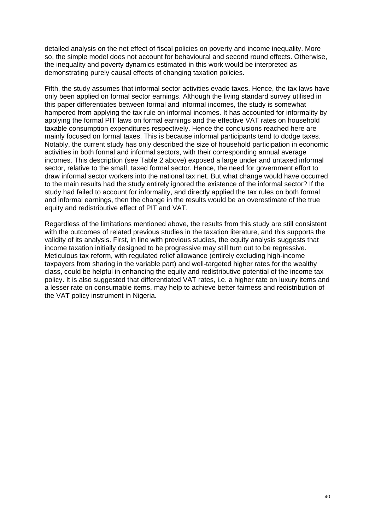detailed analysis on the net effect of fiscal policies on poverty and income inequality. More so, the simple model does not account for behavioural and second round effects. Otherwise, the inequality and poverty dynamics estimated in this work would be interpreted as demonstrating purely causal effects of changing taxation policies.

Fifth, the study assumes that informal sector activities evade taxes. Hence, the tax laws have only been applied on formal sector earnings. Although the living standard survey utilised in this paper differentiates between formal and informal incomes, the study is somewhat hampered from applying the tax rule on informal incomes. It has accounted for informality by applying the formal PIT laws on formal earnings and the effective VAT rates on household taxable consumption expenditures respectively. Hence the conclusions reached here are mainly focused on formal taxes. This is because informal participants tend to dodge taxes. Notably, the current study has only described the size of household participation in economic activities in both formal and informal sectors, with their corresponding annual average incomes. This description (see Table 2 above) exposed a large under and untaxed informal sector, relative to the small, taxed formal sector. Hence, the need for government effort to draw informal sector workers into the national tax net. But what change would have occurred to the main results had the study entirely ignored the existence of the informal sector? If the study had failed to account for informality, and directly applied the tax rules on both formal and informal earnings, then the change in the results would be an overestimate of the true equity and redistributive effect of PIT and VAT.

Regardless of the limitations mentioned above, the results from this study are still consistent with the outcomes of related previous studies in the taxation literature, and this supports the validity of its analysis. First, in line with previous studies, the equity analysis suggests that income taxation initially designed to be progressive may still turn out to be regressive. Meticulous tax reform, with regulated relief allowance (entirely excluding high-income taxpayers from sharing in the variable part) and well-targeted higher rates for the wealthy class, could be helpful in enhancing the equity and redistributive potential of the income tax policy. It is also suggested that differentiated VAT rates, i.e. a higher rate on luxury items and a lesser rate on consumable items, may help to achieve better fairness and redistribution of the VAT policy instrument in Nigeria.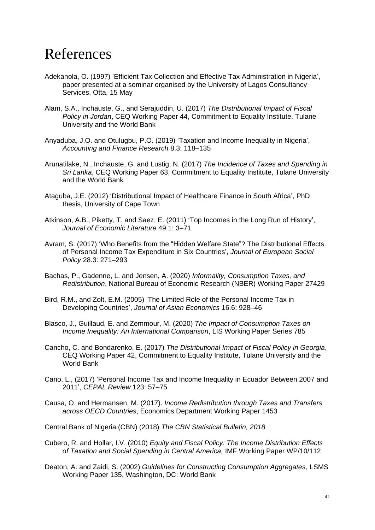## References

- Adekanola, O. (1997) 'Efficient Tax Collection and Effective Tax Administration in Nigeria', paper presented at a seminar organised by the University of Lagos Consultancy Services, Otta, 15 May
- Alam, S.A., Inchauste, G., and Serajuddin, U. (2017) *The Distributional Impact of Fiscal Policy in Jordan*, CEQ Working Paper 44, Commitment to Equality Institute, Tulane University and the World Bank
- Anyaduba, J.O. and Otulugbu, P.O. (2019) 'Taxation and Income Inequality in Nigeria', *Accounting and Finance Research* 8.3: 118–135
- Arunatilake, N., Inchauste, G. and Lustig, N. (2017) *The Incidence of Taxes and Spending in Sri Lanka*, CEQ Working Paper 63, Commitment to Equality Institute, Tulane University and the World Bank
- Ataguba, J.E. (2012) 'Distributional Impact of Healthcare Finance in South Africa', PhD thesis, University of Cape Town
- Atkinson, A.B., Piketty, T. and Saez, E. (2011) 'Top Incomes in the Long Run of History', *Journal of Economic Literature* 49.1: 3–71
- Avram, S. (2017) 'Who Benefits from the "Hidden Welfare State"? The Distributional Effects of Personal Income Tax Expenditure in Six Countries', *Journal of European Social Policy* 28.3: 271–293
- Bachas, P., Gadenne, L. and Jensen, A. (2020) *Informality, Consumption Taxes, and Redistribution*, National Bureau of Economic Research (NBER) Working Paper 27429
- Bird, R.M., and Zolt, E.M. (2005) 'The Limited Role of the Personal Income Tax in Developing Countries', *Journal of Asian Economics* 16.6: 928–46
- Blasco, J., Guillaud, E. and Zemmour, M. (2020) *The Impact of Consumption Taxes on Income Inequality: An International Comparison*, LIS Working Paper Series 785
- Cancho, C. and Bondarenko, E. (2017) *The Distributional Impact of Fiscal Policy in Georgia*, CEQ Working Paper 42, Commitment to Equality Institute, Tulane University and the World Bank
- Cano, L., (2017) 'Personal Income Tax and Income Inequality in Ecuador Between 2007 and 2011', *CEPAL Review* 123: 57–75
- Causa, O. and Hermansen, M. (2017). *Income Redistribution through Taxes and Transfers across OECD Countries*, Economics Department Working Paper 1453
- Central Bank of Nigeria (CBN) (2018) *The CBN Statistical Bulletin, 2018*
- Cubero, R. and Hollar, I.V. (2010) *Equity and Fiscal Policy: The Income Distribution Effects of Taxation and Social Spending in Central America,* IMF Working Paper WP/10/112
- Deaton, A. and Zaidi, S. (2002) *Guidelines for Constructing Consumption Aggregates*, LSMS Working Paper 135, Washington, DC: World Bank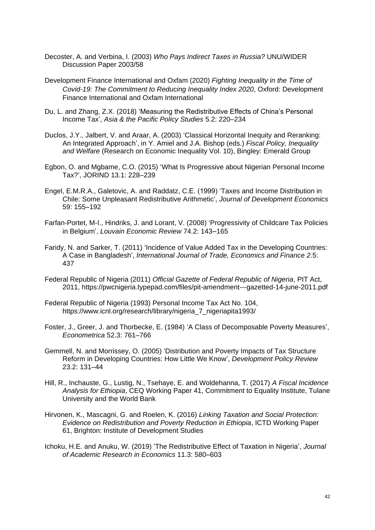- Decoster, A. and Verbina, I. (2003) *Who Pays Indirect Taxes in Russia?* UNU/WIDER Discussion Paper 2003/58
- Development Finance International and Oxfam (2020) *Fighting Inequality in the Time of Covid-19: The Commitment to Reducing Inequality Index 2020*, Oxford: Development Finance International and Oxfam International
- Du, L. and Zhang, Z.X. (2018) 'Measuring the Redistributive Effects of China's Personal Income Tax', *Asia & the Pacific Policy Studies* 5.2: 220–234
- Duclos, J.Y., Jalbert, V. and Araar, A. (2003) 'Classical Horizontal Inequity and Reranking: An Integrated Approach', in Y. Amiel and J.A. Bishop (eds.) *Fiscal Policy, Inequality and Welfare* (Research on Economic Inequality Vol. 10), Bingley: Emerald Group
- Egbon, O. and Mgbame, C.O. (2015) 'What Is Progressive about Nigerian Personal Income Tax?', JORIND 13.1: 228–239
- Engel, E.M.R.A., Galetovic, A. and Raddatz, C.E. (1999) 'Taxes and Income Distribution in Chile: Some Unpleasant Redistributive Arithmetic', *Journal of Development Economics* 59: 155–192
- Farfan-Portet, M-I., Hindriks, J. and Lorant, V. (2008) 'Progressivity of Childcare Tax Policies in Belgium', *Louvain Economic Review* 74.2: 143–165
- Faridy, N. and Sarker, T. (2011) 'Incidence of Value Added Tax in the Developing Countries: A Case in Bangladesh', *International Journal of Trade, Economics and Finance 2*.5: 437
- Federal Republic of Nigeria (2011) *Official Gazette of Federal Republic of Nigeria*, PIT Act, 2011, https://pwcnigeria.typepad.com/files/pit-amendment---gazetted-14-june-2011.pdf
- Federal Republic of Nigeria (1993) Personal Income Tax Act No. 104, https://www.icnl.org/research/library/nigeria\_7\_nigeriapita1993/
- Foster, J., Greer, J. and Thorbecke, E. (1984) 'A Class of Decomposable Poverty Measures', *Econometrica* 52.3: 761–766
- Gemmell, N. and Morrissey, O. (2005) 'Distribution and Poverty Impacts of Tax Structure Reform in Developing Countries: How Little We Know', *Development Policy Review*  23.2: 131–44
- Hill, R., Inchauste, G., Lustig, N., Tsehaye, E. and Woldehanna, T. (2017) *A Fiscal Incidence Analysis for Ethiopia*, CEQ Working Paper 41, Commitment to Equality Institute, Tulane University and the World Bank
- Hirvonen, K., Mascagni, G. and Roelen, K. (2016) *Linking Taxation and Social Protection: Evidence on Redistribution and Poverty Reduction in Ethiopia*, ICTD Working Paper 61, Brighton: Institute of Development Studies
- Ichoku, H.E. and Anuku, W. (2019) 'The Redistributive Effect of Taxation in Nigeria', *Journal of Academic Research in Economics* 11.3: 580–603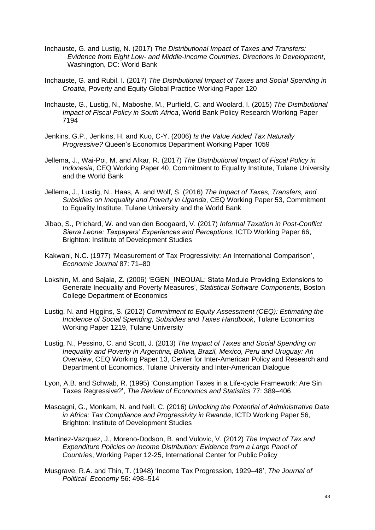- Inchauste, G. and Lustig, N. (2017) *The Distributional Impact of Taxes and Transfers: Evidence from Eight Low- and Middle-Income Countries. Directions in Development*, Washington, DC: World Bank
- Inchauste, G. and Rubil, I. (2017) *The Distributional Impact of Taxes and Social Spending in Croatia*, Poverty and Equity Global Practice Working Paper 120
- Inchauste, G., Lustig, N., Maboshe, M., Purfield, C. and Woolard, I. (2015) *The Distributional Impact of Fiscal Policy in South Africa*, World Bank Policy Research Working Paper 7194
- Jenkins, G.P., Jenkins, H. and Kuo, C-Y. (2006) *Is the Value Added Tax Naturally Progressive?* Queen's Economics Department Working Paper 1059
- Jellema, J., Wai-Poi, M. and Afkar, R. (2017) *The Distributional Impact of Fiscal Policy in Indonesia*, CEQ Working Paper 40, Commitment to Equality Institute, Tulane University and the World Bank
- Jellema, J., Lustig, N., Haas, A. and Wolf, S. (2016) *The Impact of Taxes, Transfers, and Subsidies on Inequality and Poverty in Uganda*, CEQ Working Paper 53, Commitment to Equality Institute, Tulane University and the World Bank
- Jibao, S., Prichard, W. and van den Boogaard, V. (2017) *Informal Taxation in Post-Conflict Sierra Leone: Taxpayers' Experiences and Perceptions*, ICTD Working Paper 66, Brighton: Institute of Development Studies
- Kakwani, N.C. (1977) 'Measurement of Tax Progressivity: An International Comparison', *Economic Journal* 87: 71–80
- Lokshin, M. and Sajaia, Z. (2006) 'EGEN\_INEQUAL: Stata Module Providing Extensions to Generate Inequality and Poverty Measures', *Statistical Software Components*, Boston College Department of Economics
- Lustig, N. and Higgins, S. (2012) *Commitment to Equity Assessment (CEQ): Estimating the Incidence of Social Spending, Subsidies and Taxes Handbook*, Tulane Economics Working Paper 1219, Tulane University
- Lustig, N., Pessino, C. and Scott, J. (2013) *The Impact of Taxes and Social Spending on Inequality and Poverty in Argentina, Bolivia, Brazil, Mexico, Peru and Uruguay: An Overview*, CEQ Working Paper 13, Center for Inter-American Policy and Research and Department of Economics, Tulane University and Inter-American Dialogue
- Lyon, A.B. and Schwab, R. (1995) 'Consumption Taxes in a Life-cycle Framework: Are Sin Taxes Regressive?', *The Review of Economics and Statistics* 77: 389–406
- Mascagni, G., Monkam, N. and Nell, C. (2016) *Unlocking the Potential of Administrative Data in Africa: Tax Compliance and Progressivity in Rwanda*, ICTD Working Paper 56, Brighton: Institute of Development Studies
- Martinez-Vazquez, J., Moreno-Dodson, B. and Vulovic, V. (2012) *The Impact of Tax and Expenditure Policies on Income Distribution: Evidence from a Large Panel of Countries*, Working Paper 12-25, International Center for Public Policy
- Musgrave, R.A. and Thin, T. (1948) 'Income Tax Progression, 1929–48', *The Journal of Political Economy* 56: 498–514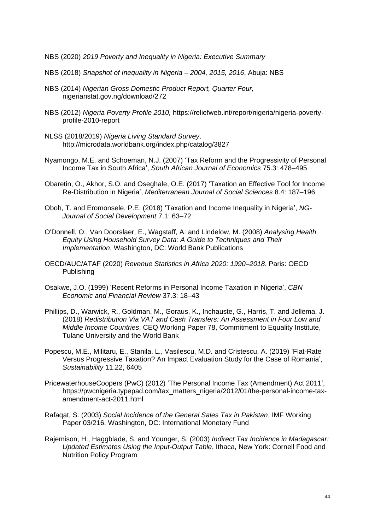NBS (2020) *2019 Poverty and Inequality in Nigeria: Executive Summary*

- NBS (2018) *Snapshot of Inequality in Nigeria – 2004, 2015, 2016*, Abuja: NBS
- NBS (2014) *Nigerian Gross Domestic Product Report, Quarter Four,* nigerianstat.gov.ng/download/272
- NBS (2012) *Nigeria Poverty Profile 2010,* https://reliefweb.int/report/nigeria/nigeria-povertyprofile-2010-report
- NLSS (2018/2019) *Nigeria Living Standard Survey*. http://microdata.worldbank.org/index.php/catalog/3827
- Nyamongo, M.E. and Schoeman, N.J. (2007) 'Tax Reform and the Progressivity of Personal Income Tax in South Africa', *South African Journal of Economics* 75.3: 478–495
- Obaretin, O., Akhor, S.O. and Oseghale, O.E. (2017) 'Taxation an Effective Tool for Income Re-Distribution in Nigeria', *Mediterranean Journal of Social Sciences* 8.4: 187–196
- Oboh, T. and Eromonsele, P.E. (2018) 'Taxation and Income Inequality in Nigeria', *NG-Journal of Social Development* 7.1: 63–72
- O'Donnell, O., Van Doorslaer, E., Wagstaff, A. and Lindelow, M. (2008) *Analysing Health Equity Using Household Survey Data: A Guide to Techniques and Their Implementation*, Washington, DC: World Bank Publications
- OECD/AUC/ATAF (2020) *Revenue Statistics in Africa 2020: 1990–2018*, Paris: OECD Publishing
- Osakwe, J.O. (1999) 'Recent Reforms in Personal Income Taxation in Nigeria', *CBN Economic and Financial Review* 37.3: 18*–*43
- Phillips, D., Warwick, R., Goldman, M., Goraus, K., Inchauste, G., Harris, T. and Jellema, J. (2018) *Redistribution Via VAT and Cash Transfers: An Assessment in Four Low and Middle Income Countries*, CEQ Working Paper 78, Commitment to Equality Institute, Tulane University and the World Bank
- Popescu, M.E., Militaru, E., Stanila, L., Vasilescu, M.D. and Cristescu, A. (2019) 'Flat-Rate Versus Progressive Taxation? An Impact Evaluation Study for the Case of Romania', *Sustainability* 11.22, 6405
- PricewaterhouseCoopers (PwC) (2012) 'The Personal Income Tax (Amendment) Act 2011', https://pwcnigeria.typepad.com/tax\_matters\_nigeria/2012/01/the-personal-income-taxamendment-act-2011.html
- Rafaqat, S. (2003) *Social Incidence of the General Sales Tax in Pakistan*, IMF Working Paper 03/216, Washington, DC: International Monetary Fund
- Rajemison, H., Haggblade, S. and Younger, S. (2003) *Indirect Tax Incidence in Madagascar: Updated Estimates Using the Input-Output Table*, Ithaca, New York: Cornell Food and Nutrition Policy Program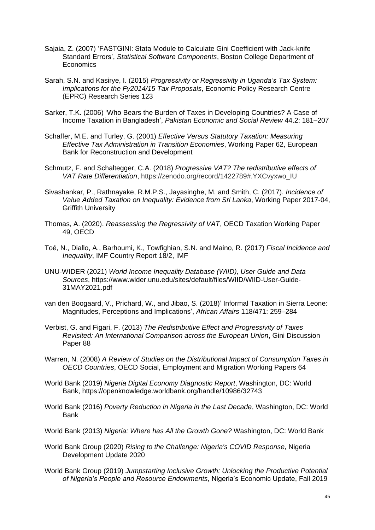- Sajaia, Z. (2007) 'FASTGINI: Stata Module to Calculate Gini Coefficient with Jack-knife Standard Errors', *Statistical Software Components*, Boston College Department of **Economics**
- Sarah, S.N. and Kasirye, I. (2015) *Progressivity or Regressivity in Uganda's Tax System: Implications for the Fy2014/15 Tax Proposals*, Economic Policy Research Centre (EPRC) Research Series 123
- Sarker, T.K. (2006) 'Who Bears the Burden of Taxes in Developing Countries? A Case of Income Taxation in Bangladesh', *Pakistan Economic and Social Review* 44.2: 181–207
- Schaffer, M.E. and Turley, G. (2001) *Effective Versus Statutory Taxation: Measuring Effective Tax Administration in Transition Economies*, Working Paper 62, European Bank for Reconstruction and Development
- Schmutz, F. and Schaltegger, C.A. (2018) *Progressive VAT? The redistributive effects of VAT Rate Differentiation*, https://zenodo.org/record/1422789#.YXCvyxwo\_IU
- Sivashankar, P., Rathnayake, R.M.P.S., Jayasinghe, M. and Smith, C. (2017). *Incidence of Value Added Taxation on Inequality: Evidence from Sri Lanka*, Working Paper 2017-04, Griffith University
- Thomas, A. (2020). *Reassessing the Regressivity of VAT*, OECD Taxation Working Paper 49, OECD
- Toé, N., Diallo, A., Barhoumi, K., Towfighian, S.N. and Maino, R. (2017) *Fiscal Incidence and Inequality*, IMF Country Report 18/2, IMF
- UNU-WIDER (2021) *World Income Inequality Database (WIID), User Guide and Data Sources*, https://www.wider.unu.edu/sites/default/files/WIID/WIID-User-Guide-31MAY2021.pdf
- van den Boogaard, V., Prichard, W., and Jibao, S. (2018)' Informal Taxation in Sierra Leone: Magnitudes, Perceptions and Implications', *African Affairs* 118/471: 259–284
- Verbist, G. and Figari, F. (2013) *The Redistributive Effect and Progressivity of Taxes Revisited: An International Comparison across the European Union*, Gini Discussion Paper 88
- Warren, N. (2008) *A Review of Studies on the Distributional Impact of Consumption Taxes in OECD Countries*, OECD Social, Employment and Migration Working Papers 64
- World Bank (2019) *Nigeria Digital Economy Diagnostic Report*, Washington, DC: World Bank, https://openknowledge.worldbank.org/handle/10986/32743
- World Bank (2016) *Poverty Reduction in Nigeria in the Last Decade*, Washington, DC: World Bank
- World Bank (2013) *Nigeria: Where has All the Growth Gone?* Washington, DC: World Bank
- World Bank Group (2020) *Rising to the Challenge: Nigeria's COVID Response*, Nigeria Development Update 2020
- World Bank Group (2019) *Jumpstarting Inclusive Growth: Unlocking the Productive Potential of Nigeria's People and Resource Endowments*, Nigeria's Economic Update, Fall 2019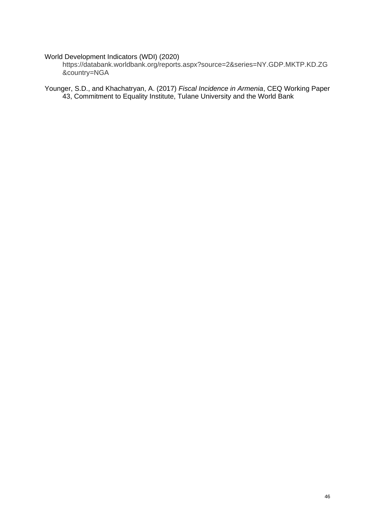#### World Development Indicators (WDI) (2020)

https://databank.worldbank.org/reports.aspx?source=2&series=NY.GDP.MKTP.KD.ZG &country=NGA

Younger, S.D., and Khachatryan, A. (2017) *Fiscal Incidence in Armenia*, CEQ Working Paper 43, Commitment to Equality Institute, Tulane University and the World Bank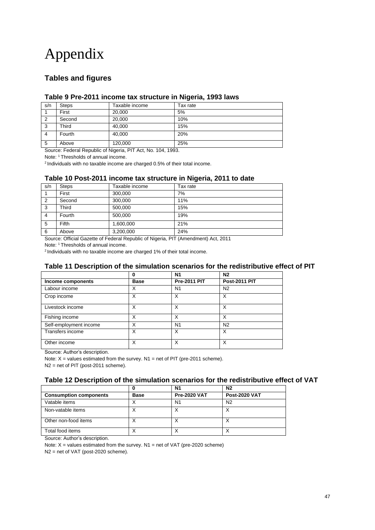## Appendix

### **Tables and figures**

#### **Table 9 Pre-2011 income tax structure in Nigeria, 1993 laws**

| s/n            | <b>Steps</b> | Taxable income | Tax rate |
|----------------|--------------|----------------|----------|
|                | First        | 20.000         | 5%       |
| 2              | Second       | 20,000         | 10%      |
| 3              | Third        | 40.000         | 15%      |
| $\overline{4}$ | Fourth       | 40,000         | 20%      |
| 5              | Above        | 120,000        | 25%      |

Source: Federal Republic of Nigeria, PIT Act, No. 104, 1993.

Note: <sup>1</sup> Thresholds of annual income.

<sup>2</sup> Individuals with no taxable income are charged 0.5% of their total income.

#### **Table 10 Post-2011 income tax structure in Nigeria, 2011 to date**

| s/n            | <b>Steps</b> | Taxable income | Tax rate |
|----------------|--------------|----------------|----------|
|                | First        | 300,000        | 7%       |
| $\overline{2}$ | Second       | 300,000        | 11%      |
| 3              | Third        | 500,000        | 15%      |
| 4              | Fourth       | 500,000        | 19%      |
| 5              | <b>Fifth</b> | 1,600,000      | 21%      |
| 6              | Above        | 3,200,000      | 24%      |

Source: Official Gazette of Federal Republic of Nigeria, PIT (Amendment) Act, 2011

Note: <sup>1</sup> Thresholds of annual income.

<sup>2</sup> Individuals with no taxable income are charged 1% of their total income.

#### **Table 11 Description of the simulation scenarios for the redistributive effect of PIT**

|                        | 0           | N <sub>1</sub>      | N2                   |
|------------------------|-------------|---------------------|----------------------|
| Income components      | <b>Base</b> | <b>Pre-2011 PIT</b> | <b>Post-2011 PIT</b> |
| Labour income          | X           | N <sub>1</sub>      | N <sub>2</sub>       |
| Crop income            | х           | X                   | х                    |
| Livestock income       | х           | X                   | х                    |
| Fishing income         | X           | X                   | X                    |
| Self-employment income | X           | N <sub>1</sub>      | N <sub>2</sub>       |
| Transfers income       | X           | X                   | X                    |
| Other income           | X           | X                   | X                    |

Source: Author's description.

Note:  $X =$  values estimated from the survey. N1 = net of PIT (pre-2011 scheme).

N2 = net of PIT (post-2011 scheme).

#### **Table 12 Description of the simulation scenarios for the redistributive effect of VAT**

|                               | 0           | N1                  | N <sub>2</sub>       |
|-------------------------------|-------------|---------------------|----------------------|
| <b>Consumption components</b> | <b>Base</b> | <b>Pre-2020 VAT</b> | <b>Post-2020 VAT</b> |
| Vatable items                 | ́           | N1                  | N <sub>2</sub>       |
| Non-vatable items             | Х           |                     |                      |
| Other non-food items          | ⌒           | ⌒                   |                      |
| Total food items              | ↗           |                     |                      |

Source: Author's description.

Note:  $X =$  values estimated from the survey. N1 = net of VAT (pre-2020 scheme)

N2 = net of VAT (post-2020 scheme).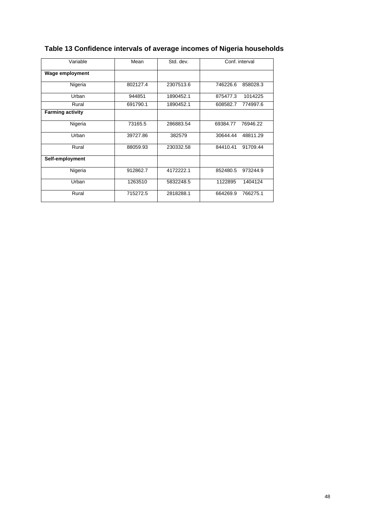| Variable                | Mean     | Std. dev. | Conf. interval       |
|-------------------------|----------|-----------|----------------------|
| <b>Wage employment</b>  |          |           |                      |
| Nigeria                 | 802127.4 | 2307513.6 | 746226.6<br>858028.3 |
| Urban                   | 944851   | 1890452.1 | 875477.3<br>1014225  |
| Rural                   | 691790.1 | 1890452.1 | 608582.7<br>774997.6 |
| <b>Farming activity</b> |          |           |                      |
| Nigeria                 | 73165.5  | 286883.54 | 69384.77<br>76946.22 |
| Urban                   | 39727.86 | 382579    | 30644.44<br>48811.29 |
| Rural                   | 88059.93 | 230332.58 | 84410.41<br>91709.44 |
| Self-employment         |          |           |                      |
| Nigeria                 | 912862.7 | 4172222.1 | 852480.5<br>973244.9 |
| Urban                   | 1263510  | 5832248.5 | 1122895<br>1404124   |
| Rural                   | 715272.5 | 2818288.1 | 766275.1<br>664269.9 |

## **Table 13 Confidence intervals of average incomes of Nigeria households**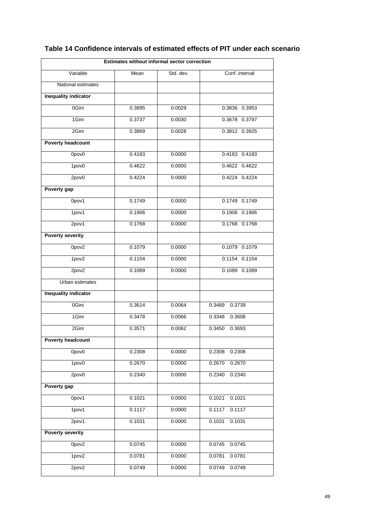| Estimates without informal sector correction |        |           |                               |  |  |
|----------------------------------------------|--------|-----------|-------------------------------|--|--|
| Variable                                     | Mean   | Std. dev. | Conf. interval                |  |  |
| National estimates                           |        |           |                               |  |  |
| <b>Inequality indicator</b>                  |        |           |                               |  |  |
| 0Gini                                        | 0.3895 | 0.0029    | 0.3836 0.3953                 |  |  |
| 1Gini                                        | 0.3737 | 0.0030    | 0.3678 0.3797                 |  |  |
| 2Gini                                        | 0.3869 | 0.0028    | 0.3812 0.3925                 |  |  |
| <b>Poverty headcount</b>                     |        |           |                               |  |  |
| 0pov0                                        | 0.4183 | 0.0000    | 0.4183 0.4183                 |  |  |
| 1pov0                                        | 0.4622 | 0.0000    | 0.4622 0.4622                 |  |  |
| 2pov0                                        | 0.4224 | 0.0000    | 0.4224 0.4224                 |  |  |
| Poverty gap                                  |        |           |                               |  |  |
| 0pov1                                        | 0.1749 | 0.0000    | 0.1749 0.1749                 |  |  |
| 1pov1                                        | 0.1906 | 0.0000    | 0.1906 0.1906                 |  |  |
| 2pov1                                        | 0.1768 | 0.0000    | 0.1768 0.1768                 |  |  |
| <b>Poverty severity</b>                      |        |           |                               |  |  |
| 0pov2                                        | 0.1079 | 0.0000    | 0.1079 0.1079                 |  |  |
| 1pov2                                        | 0.1154 | 0.0000    | 0.1154 0.1154                 |  |  |
| 2pov2                                        | 0.1089 | 0.0000    | 0.1089 0.1089                 |  |  |
| Urban estimates                              |        |           |                               |  |  |
| <b>Inequality indicator</b>                  |        |           |                               |  |  |
| 0Gini                                        | 0.3614 | 0.0064    | 0.3489<br>$0.\overline{3739}$ |  |  |
| 1Gini                                        | 0.3478 | 0.0066    | 0.3348<br>0.3608              |  |  |
| 2Gini                                        | 0.3571 | 0.0062    | 0.3450<br>0.3693              |  |  |
| <b>Poverty headcount</b>                     |        |           |                               |  |  |
| 0pov <sub>0</sub>                            | 0.2308 | 0.0000    | 0.2308<br>0.2308              |  |  |
| 1pov0                                        | 0.2670 | 0.0000    | 0.2670<br>0.2670              |  |  |
| 2pov0                                        | 0.2340 | 0.0000    | 0.2340<br>0.2340              |  |  |
| Poverty gap                                  |        |           |                               |  |  |
| 0pov1                                        | 0.1021 | 0.0000    | 0.1021<br>0.1021              |  |  |
| 1pov1                                        | 0.1117 | 0.0000    | 0.1117<br>0.1117              |  |  |
| 2pov1                                        | 0.1031 | 0.0000    | 0.1031<br>0.1031              |  |  |
| <b>Poverty severity</b>                      |        |           |                               |  |  |
| 0pov2                                        | 0.0745 | 0.0000    | 0.0745<br>0.0745              |  |  |
| 1pov2                                        | 0.0781 | 0.0000    | 0.0781<br>0.0781              |  |  |
| 2pov2                                        | 0.0749 | 0.0000    | 0.0749<br>0.0749              |  |  |

## **Table 14 Confidence intervals of estimated effects of PIT under each scenario**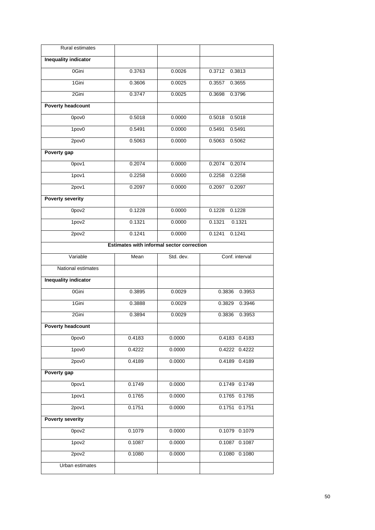| Rural estimates             |                                           |           |                   |
|-----------------------------|-------------------------------------------|-----------|-------------------|
| <b>Inequality indicator</b> |                                           |           |                   |
| 0Gini                       | 0.3763                                    | 0.0026    | 0.3712<br>0.3813  |
| 1Gini                       | 0.3606                                    | 0.0025    | 0.3557<br>0.3655  |
| 2Gini                       | 0.3747                                    | 0.0025    | 0.3698<br>0.3796  |
| <b>Poverty headcount</b>    |                                           |           |                   |
| 0pov0                       | 0.5018                                    | 0.0000    | 0.5018<br>0.5018  |
| 1pov0                       | 0.5491                                    | 0.0000    | 0.5491<br>0.5491  |
| 2pov0                       | 0.5063                                    | 0.0000    | 0.5062<br>0.5063  |
| Poverty gap                 |                                           |           |                   |
| 0pov1                       | 0.2074                                    | 0.0000    | 0.2074<br>0.2074  |
| 1pov1                       | 0.2258                                    | 0.0000    | 0.2258<br>0.2258  |
| 2pov1                       | 0.2097                                    | 0.0000    | 0.2097<br>0.2097  |
| <b>Poverty severity</b>     |                                           |           |                   |
| Opov <sub>2</sub>           | 0.1228                                    | 0.0000    | 0.1228<br>0.1228  |
| 1pov2                       | 0.1321                                    | 0.0000    | 0.1321<br>0.1321  |
| 2pov2                       | 0.1241                                    | 0.0000    | 0.1241<br>0.1241  |
|                             | Estimates with informal sector correction |           |                   |
| Variable                    | Mean                                      | Std. dev. | Conf. interval    |
| National estimates          |                                           |           |                   |
| <b>Inequality indicator</b> |                                           |           |                   |
| 0Gini                       | 0.3895                                    | 0.0029    | 0.3953<br>0.3836  |
| 1Gini                       | 0.3888                                    | 0.0029    | 0.3829<br>0.3946  |
| 2Gini                       | 0.3894                                    | 0.0029    | 0.3836<br>0.3953  |
| <b>Poverty headcount</b>    |                                           |           |                   |
| 0pov0                       | 0.4183                                    | 0.0000    | 0.4183 0.4183     |
| 1pov <sub>0</sub>           | 0.4222                                    | 0.0000    | 0.4222 0.4222     |
| 2pov0                       | 0.4189                                    | 0.0000    | $0.4189$ $0.4189$ |
| Poverty gap                 |                                           |           |                   |
| 0pov1                       | 0.1749                                    | 0.0000    | 0.1749 0.1749     |
| 1pov1                       | 0.1765                                    | 0.0000    | 0.1765 0.1765     |
| 2pov1                       | 0.1751                                    | 0.0000    | $0.1751$ $0.1751$ |
| <b>Poverty severity</b>     |                                           |           |                   |
| Opov <sub>2</sub>           | 0.1079                                    | 0.0000    | 0.1079 0.1079     |
| 1pov2                       | 0.1087                                    | 0.0000    | 0.1087 0.1087     |
| 2pov2                       | 0.1080                                    | 0.0000    | $0.1080$ $0.1080$ |
| Urban estimates             |                                           |           |                   |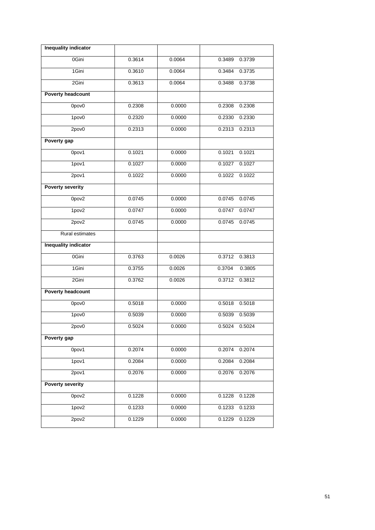| <b>Inequality indicator</b> |        |        |                  |
|-----------------------------|--------|--------|------------------|
| 0Gini                       | 0.3614 | 0.0064 | 0.3489<br>0.3739 |
| 1Gini                       | 0.3610 | 0.0064 | 0.3484<br>0.3735 |
| 2Gini                       | 0.3613 | 0.0064 | 0.3738<br>0.3488 |
| <b>Poverty headcount</b>    |        |        |                  |
| 0pov0                       | 0.2308 | 0.0000 | 0.2308<br>0.2308 |
| 1pov0                       | 0.2320 | 0.0000 | 0.2330<br>0.2330 |
| 2pov0                       | 0.2313 | 0.0000 | 0.2313<br>0.2313 |
| Poverty gap                 |        |        |                  |
| 0pov1                       | 0.1021 | 0.0000 | 0.1021<br>0.1021 |
| 1pov1                       | 0.1027 | 0.0000 | 0.1027<br>0.1027 |
| 2pov1                       | 0.1022 | 0.0000 | 0.1022<br>0.1022 |
| <b>Poverty severity</b>     |        |        |                  |
| 0pov2                       | 0.0745 | 0.0000 | 0.0745<br>0.0745 |
| 1pov2                       | 0.0747 | 0.0000 | 0.0747<br>0.0747 |
| 2pov2                       | 0.0745 | 0.0000 | 0.0745<br>0.0745 |
| Rural estimates             |        |        |                  |
| <b>Inequality indicator</b> |        |        |                  |
| 0Gini                       | 0.3763 | 0.0026 | 0.3813<br>0.3712 |
| 1Gini                       | 0.3755 | 0.0026 | 0.3704<br>0.3805 |
| 2Gini                       | 0.3762 | 0.0026 | 0.3812<br>0.3712 |
| <b>Poverty headcount</b>    |        |        |                  |
| 0pov0                       | 0.5018 | 0.0000 | 0.5018<br>0.5018 |
| 1pov <sub>0</sub>           | 0.5039 | 0.0000 | 0.5039<br>0.5039 |
| 2pov0                       | 0.5024 | 0.0000 | 0.5024 0.5024    |
| Poverty gap                 |        |        |                  |
| 0pov1                       | 0.2074 | 0.0000 | 0.2074<br>0.2074 |
| 1pov1                       | 0.2084 | 0.0000 | 0.2084<br>0.2084 |
| 2pov1                       | 0.2076 | 0.0000 | 0.2076<br>0.2076 |
| <b>Poverty severity</b>     |        |        |                  |
| Opov2                       | 0.1228 | 0.0000 | 0.1228<br>0.1228 |
| 1pov2                       | 0.1233 | 0.0000 | 0.1233<br>0.1233 |
| 2pov2                       | 0.1229 | 0.0000 | 0.1229<br>0.1229 |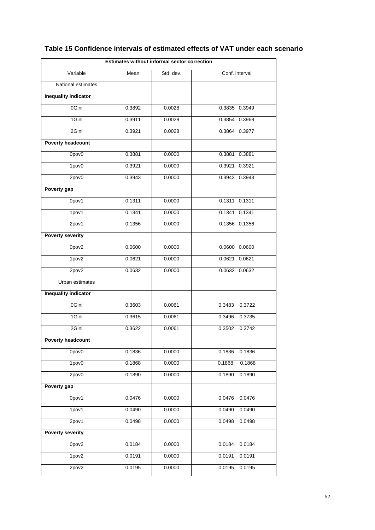| Estimates without informal sector correction |        |           |                  |  |  |
|----------------------------------------------|--------|-----------|------------------|--|--|
| Variable                                     | Mean   | Std. dev. | Conf. interval   |  |  |
| National estimates                           |        |           |                  |  |  |
| <b>Inequality indicator</b>                  |        |           |                  |  |  |
| 0Gini                                        | 0.3892 | 0.0028    | 0.3835 0.3949    |  |  |
| 1Gini                                        | 0.3911 | 0.0028    | 0.3854 0.3968    |  |  |
| 2Gini                                        | 0.3921 | 0.0028    | 0.3864 0.3977    |  |  |
| <b>Poverty headcount</b>                     |        |           |                  |  |  |
| 0pov0                                        | 0.3881 | 0.0000    | 0.3881 0.3881    |  |  |
| 1pov0                                        | 0.3921 | 0.0000    | 0.3921 0.3921    |  |  |
| 2pov0                                        | 0.3943 | 0.0000    | 0.3943 0.3943    |  |  |
| Poverty gap                                  |        |           |                  |  |  |
| 0pov1                                        | 0.1311 | 0.0000    | 0.1311 0.1311    |  |  |
| 1pov1                                        | 0.1341 | 0.0000    | 0.1341 0.1341    |  |  |
| 2pov1                                        | 0.1356 | 0.0000    | 0.1356 0.1356    |  |  |
| <b>Poverty severity</b>                      |        |           |                  |  |  |
| Opov <sub>2</sub>                            | 0.0600 | 0.0000    | 0.0600 0.0600    |  |  |
| 1pov2                                        | 0.0621 | 0.0000    | 0.0621 0.0621    |  |  |
| 2pov2                                        | 0.0632 | 0.0000    | 0.0632 0.0632    |  |  |
| Urban estimates                              |        |           |                  |  |  |
| <b>Inequality indicator</b>                  |        |           |                  |  |  |
| 0Gini                                        | 0.3603 | 0.0061    | 0.3722<br>0.3483 |  |  |
| 1Gini                                        | 0.3615 | 0.0061    | 0.3496<br>0.3735 |  |  |
| 2Gini                                        | 0.3622 | 0.0061    | 0.3502<br>0.3742 |  |  |
| <b>Poverty headcount</b>                     |        |           |                  |  |  |
| 0pov0                                        | 0.1836 | 0.0000    | 0.1836<br>0.1836 |  |  |
| 1pov <sub>0</sub>                            | 0.1868 | 0.0000    | 0.1868<br>0.1868 |  |  |
| 2pov0                                        | 0.1890 | 0.0000    | 0.1890<br>0.1890 |  |  |
| Poverty gap                                  |        |           |                  |  |  |
| 0pov1                                        | 0.0476 | 0.0000    | 0.0476<br>0.0476 |  |  |
| 1pov1                                        | 0.0490 | 0.0000    | 0.0490<br>0.0490 |  |  |
| 2pov1                                        | 0.0498 | 0.0000    | 0.0498<br>0.0498 |  |  |
| <b>Poverty severity</b>                      |        |           |                  |  |  |
| Opov <sub>2</sub>                            | 0.0184 | 0.0000    | 0.0184<br>0.0184 |  |  |
| 1pov2                                        | 0.0191 | 0.0000    | 0.0191<br>0.0191 |  |  |
| 2pov2                                        | 0.0195 | 0.0000    | 0.0195<br>0.0195 |  |  |

## **Table 15 Confidence intervals of estimated effects of VAT under each scenario**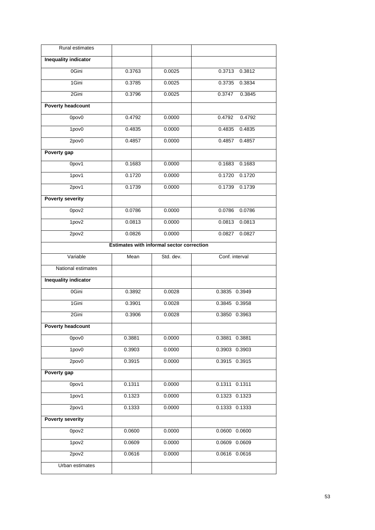| Rural estimates             |                                                  |           |                   |
|-----------------------------|--------------------------------------------------|-----------|-------------------|
| <b>Inequality indicator</b> |                                                  |           |                   |
| 0Gini                       | 0.3763                                           | 0.0025    | 0.3713<br>0.3812  |
| 1Gini                       | 0.3785                                           | 0.0025    | 0.3834<br>0.3735  |
| 2Gini                       | 0.3796                                           | 0.0025    | 0.3747<br>0.3845  |
| <b>Poverty headcount</b>    |                                                  |           |                   |
| 0pov0                       | 0.4792                                           | 0.0000    | 0.4792<br>0.4792  |
| 1pov0                       | 0.4835                                           | 0.0000    | 0.4835<br>0.4835  |
| 2pov0                       | 0.4857                                           | 0.0000    | 0.4857<br>0.4857  |
| Poverty gap                 |                                                  |           |                   |
| 0pov1                       | 0.1683                                           | 0.0000    | 0.1683<br>0.1683  |
| 1pov1                       | 0.1720                                           | 0.0000    | 0.1720<br>0.1720  |
| 2pov1                       | 0.1739                                           | 0.0000    | 0.1739<br>0.1739  |
| <b>Poverty severity</b>     |                                                  |           |                   |
| Opov <sub>2</sub>           | 0.0786                                           | 0.0000    | 0.0786<br>0.0786  |
| 1pov2                       | 0.0813                                           | 0.0000    | 0.0813<br>0.0813  |
| 2pov2                       | 0.0826                                           | 0.0000    | 0.0827<br>0.0827  |
|                             | <b>Estimates with informal sector correction</b> |           |                   |
| Variable                    | Mean                                             | Std. dev. | Conf. interval    |
| National estimates          |                                                  |           |                   |
| <b>Inequality indicator</b> |                                                  |           |                   |
| 0Gini                       | 0.3892                                           | 0.0028    | 0.3835 0.3949     |
| 1Gini                       | 0.3901                                           | 0.0028    | $0.3845$ $0.3958$ |
| 2Gini                       | 0.3906                                           | 0.0028    | 0.3850 0.3963     |
| Poverty headcount           |                                                  |           |                   |
| 0pov0                       | 0.3881                                           | 0.0000    | 0.3881 0.3881     |
| 1pov <sub>0</sub>           | 0.3903                                           | 0.0000    | 0.3903 0.3903     |
| 2pov0                       | 0.3915                                           | 0.0000    | 0.3915 0.3915     |
| Poverty gap                 |                                                  |           |                   |
| 0pov1                       | 0.1311                                           | 0.0000    | 0.1311 0.1311     |
| 1pov1                       | 0.1323                                           | 0.0000    | 0.1323 0.1323     |
| 2pov1                       | 0.1333                                           | 0.0000    | 0.1333 0.1333     |
| <b>Poverty severity</b>     |                                                  |           |                   |
| Opov <sub>2</sub>           | 0.0600                                           | 0.0000    | $0.0600$ $0.0600$ |
| 1pov2                       | 0.0609                                           | 0.0000    | 0.0609 0.0609     |
| 2pov2                       | 0.0616                                           | 0.0000    | 0.0616 0.0616     |
| Urban estimates             |                                                  |           |                   |
|                             |                                                  |           |                   |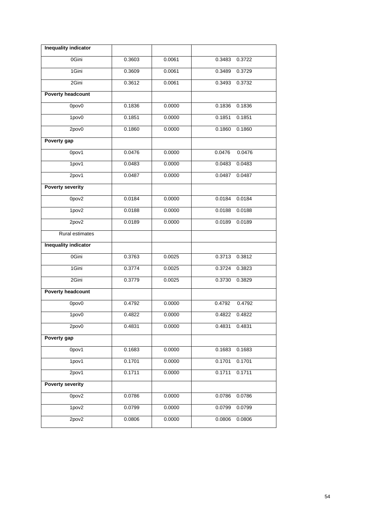| <b>Inequality indicator</b> |        |        |                  |
|-----------------------------|--------|--------|------------------|
| 0Gini                       | 0.3603 | 0.0061 | 0.3722<br>0.3483 |
| 1Gini                       | 0.3609 | 0.0061 | 0.3489<br>0.3729 |
| 2Gini                       | 0.3612 | 0.0061 | 0.3732<br>0.3493 |
| <b>Poverty headcount</b>    |        |        |                  |
| 0pov0                       | 0.1836 | 0.0000 | 0.1836<br>0.1836 |
| 1pov0                       | 0.1851 | 0.0000 | 0.1851<br>0.1851 |
| 2pov0                       | 0.1860 | 0.0000 | 0.1860<br>0.1860 |
| Poverty gap                 |        |        |                  |
| 0pov1                       | 0.0476 | 0.0000 | 0.0476<br>0.0476 |
| 1pov1                       | 0.0483 | 0.0000 | 0.0483<br>0.0483 |
| 2pov1                       | 0.0487 | 0.0000 | 0.0487<br>0.0487 |
| <b>Poverty severity</b>     |        |        |                  |
| Opov <sub>2</sub>           | 0.0184 | 0.0000 | 0.0184<br>0.0184 |
| 1pov2                       | 0.0188 | 0.0000 | 0.0188<br>0.0188 |
| 2pov2                       | 0.0189 | 0.0000 | 0.0189<br>0.0189 |
| Rural estimates             |        |        |                  |
| <b>Inequality indicator</b> |        |        |                  |
| 0Gini                       | 0.3763 | 0.0025 | 0.3812<br>0.3713 |
| 1Gini                       | 0.3774 | 0.0025 | 0.3823<br>0.3724 |
| 2Gini                       | 0.3779 | 0.0025 | 0.3829<br>0.3730 |
| <b>Poverty headcount</b>    |        |        |                  |
| 0pov0                       | 0.4792 | 0.0000 | 0.4792<br>0.4792 |
| 1pov <sub>0</sub>           | 0.4822 | 0.0000 | 0.4822<br>0.4822 |
| 2pov0                       | 0.4831 | 0.0000 | 0.4831 0.4831    |
| Poverty gap                 |        |        |                  |
| 0pov1                       | 0.1683 | 0.0000 | 0.1683<br>0.1683 |
| 1pov1                       | 0.1701 | 0.0000 | 0.1701<br>0.1701 |
| 2pov1                       | 0.1711 | 0.0000 | 0.1711<br>0.1711 |
| <b>Poverty severity</b>     |        |        |                  |
| Opov <sub>2</sub>           | 0.0786 | 0.0000 | 0.0786<br>0.0786 |
| 1pov2                       | 0.0799 | 0.0000 | 0.0799<br>0.0799 |
| 2pov2                       | 0.0806 | 0.0000 | 0.0806<br>0.0806 |